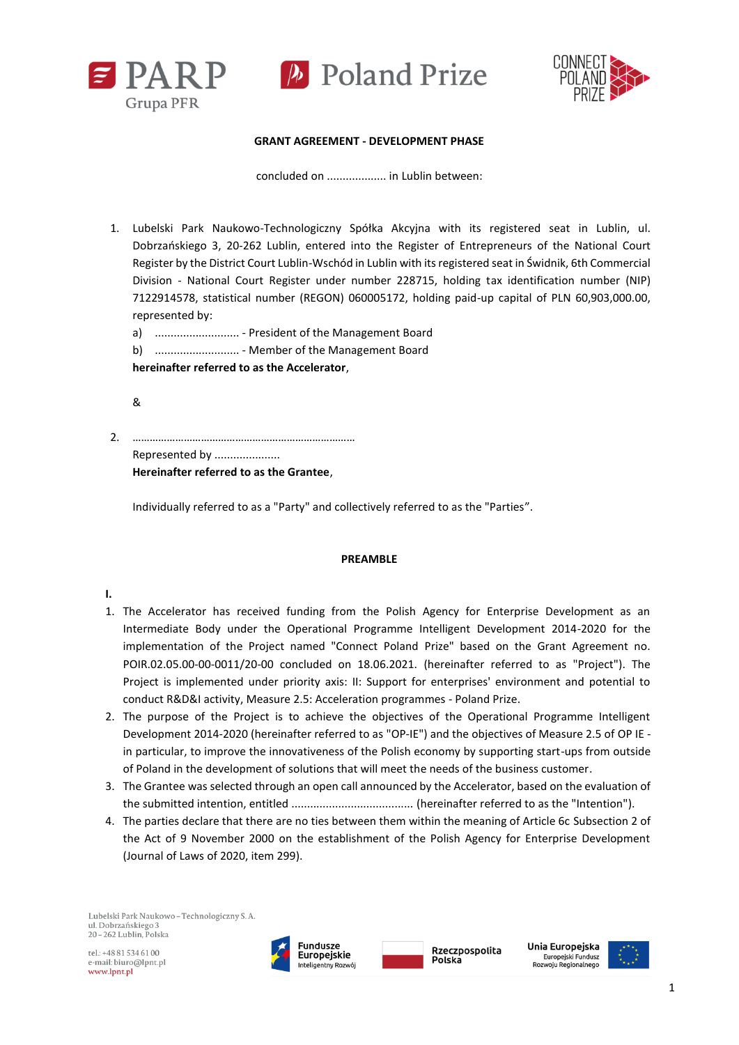



#### **GRANT AGREEMENT - DEVELOPMENT PHASE**

concluded on ................... in Lublin between:

1. Lubelski Park Naukowo-Technologiczny Spółka Akcyjna with its registered seat in Lublin, ul. Dobrzańskiego 3, 20-262 Lublin, entered into the Register of Entrepreneurs of the National Court Register by the District Court Lublin-Wschód in Lublin with its registered seat in Świdnik, 6th Commercial Division - National Court Register under number 228715, holding tax identification number (NIP) 7122914578, statistical number (REGON) 060005172, holding paid-up capital of PLN 60,903,000.00, represented by:

a) ........................... - President of the Management Board b) ........................... - Member of the Management Board **hereinafter referred to as the Accelerator**,

&

2. …………………………………………………………………… Represented by ..................... **Hereinafter referred to as the Grantee**,

Individually referred to as a "Party" and collectively referred to as the "Parties".

#### **PREAMBLE**

## **I.**

- 1. The Accelerator has received funding from the Polish Agency for Enterprise Development as an Intermediate Body under the Operational Programme Intelligent Development 2014-2020 for the implementation of the Project named "Connect Poland Prize" based on the Grant Agreement no. POIR.02.05.00-00-0011/20-00 concluded on 18.06.2021. (hereinafter referred to as "Project"). The Project is implemented under priority axis: II: Support for enterprises' environment and potential to conduct R&D&I activity, Measure 2.5: Acceleration programmes - Poland Prize.
- 2. The purpose of the Project is to achieve the objectives of the Operational Programme Intelligent Development 2014-2020 (hereinafter referred to as "OP-IE") and the objectives of Measure 2.5 of OP IE in particular, to improve the innovativeness of the Polish economy by supporting start-ups from outside of Poland in the development of solutions that will meet the needs of the business customer.
- 3. The Grantee was selected through an open call announced by the Accelerator, based on the evaluation of the submitted intention, entitled ....................................... (hereinafter referred to as the "Intention").
- 4. The parties declare that there are no ties between them within the meaning of Article 6c Subsection 2 of the Act of 9 November 2000 on the establishment of the Polish Agency for Enterprise Development (Journal of Laws of 2020, item 299).

Lubelski Park Naukowo - Technologiczny S. A. ul. Dobrzańskiego 3 20-262 Lublin, Polska

 $rel + 48815346100$ e-mail: biuro@lpnt.pl www.lpnt.pl





Rzeczpospolita

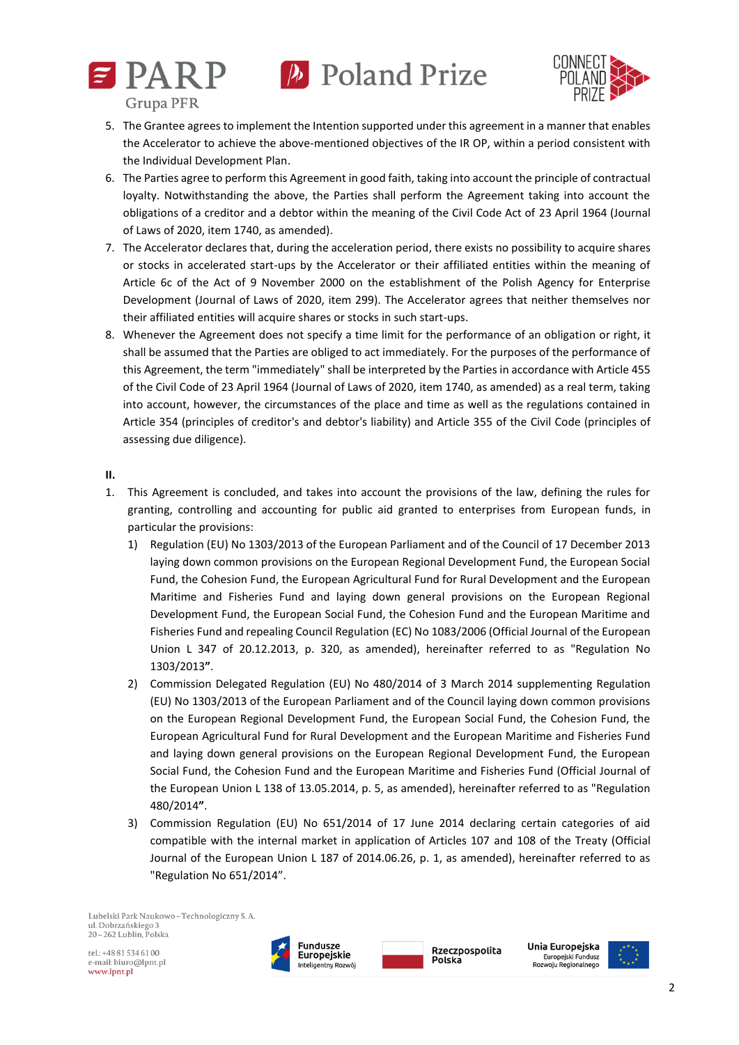



- 5. The Grantee agrees to implement the Intention supported under this agreement in a manner that enables the Accelerator to achieve the above-mentioned objectives of the IR OP, within a period consistent with the Individual Development Plan.
- 6. The Parties agree to perform this Agreement in good faith, taking into account the principle of contractual loyalty. Notwithstanding the above, the Parties shall perform the Agreement taking into account the obligations of a creditor and a debtor within the meaning of the Civil Code Act of 23 April 1964 (Journal of Laws of 2020, item 1740, as amended).
- 7. The Accelerator declares that, during the acceleration period, there exists no possibility to acquire shares or stocks in accelerated start-ups by the Accelerator or their affiliated entities within the meaning of Article 6c of the Act of 9 November 2000 on the establishment of the Polish Agency for Enterprise Development (Journal of Laws of 2020, item 299). The Accelerator agrees that neither themselves nor their affiliated entities will acquire shares or stocks in such start-ups.
- 8. Whenever the Agreement does not specify a time limit for the performance of an obligation or right, it shall be assumed that the Parties are obliged to act immediately. For the purposes of the performance of this Agreement, the term "immediately" shall be interpreted by the Parties in accordance with Article 455 of the Civil Code of 23 April 1964 (Journal of Laws of 2020, item 1740, as amended) as a real term, taking into account, however, the circumstances of the place and time as well as the regulations contained in Article 354 (principles of creditor's and debtor's liability) and Article 355 of the Civil Code (principles of assessing due diligence).

## **II.**

- 1. This Agreement is concluded, and takes into account the provisions of the law, defining the rules for granting, controlling and accounting for public aid granted to enterprises from European funds, in particular the provisions:
	- 1) Regulation (EU) No 1303/2013 of the European Parliament and of the Council of 17 December 2013 laying down common provisions on the European Regional Development Fund, the European Social Fund, the Cohesion Fund, the European Agricultural Fund for Rural Development and the European Maritime and Fisheries Fund and laying down general provisions on the European Regional Development Fund, the European Social Fund, the Cohesion Fund and the European Maritime and Fisheries Fund and repealing Council Regulation (EC) No 1083/2006 (Official Journal of the European Union L 347 of 20.12.2013, p. 320, as amended), hereinafter referred to as "Regulation No 1303/2013**"**.
	- 2) Commission Delegated Regulation (EU) No 480/2014 of 3 March 2014 supplementing Regulation (EU) No 1303/2013 of the European Parliament and of the Council laying down common provisions on the European Regional Development Fund, the European Social Fund, the Cohesion Fund, the European Agricultural Fund for Rural Development and the European Maritime and Fisheries Fund and laying down general provisions on the European Regional Development Fund, the European Social Fund, the Cohesion Fund and the European Maritime and Fisheries Fund (Official Journal of the European Union L 138 of 13.05.2014, p. 5, as amended), hereinafter referred to as "Regulation 480/2014**"**.
	- 3) Commission Regulation (EU) No 651/2014 of 17 June 2014 declaring certain categories of aid compatible with the internal market in application of Articles 107 and 108 of the Treaty (Official Journal of the European Union L 187 of 2014.06.26, p. 1, as amended), hereinafter referred to as "Regulation No 651/2014".

Lubelski Park Naukowo - Technologiczny S. A. ul. Dobrzańskiego 3  $20 - 262$  Lublin. Polska





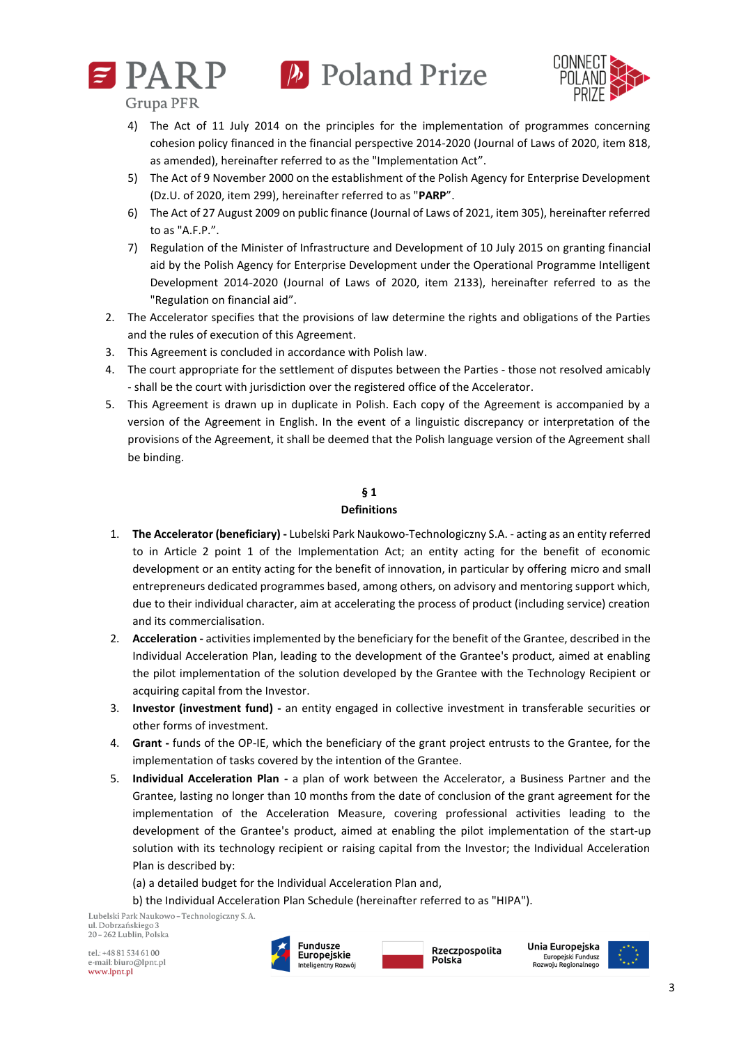



**Grupa PFR** 

- 4) The Act of 11 July 2014 on the principles for the implementation of programmes concerning cohesion policy financed in the financial perspective 2014-2020 (Journal of Laws of 2020, item 818, as amended), hereinafter referred to as the "Implementation Act".
- 5) The Act of 9 November 2000 on the establishment of the Polish Agency for Enterprise Development (Dz.U. of 2020, item 299), hereinafter referred to as "**PARP**".
- 6) The Act of 27 August 2009 on public finance (Journal of Laws of 2021, item 305), hereinafter referred to as "A.F.P.".
- 7) Regulation of the Minister of Infrastructure and Development of 10 July 2015 on granting financial aid by the Polish Agency for Enterprise Development under the Operational Programme Intelligent Development 2014-2020 (Journal of Laws of 2020, item 2133), hereinafter referred to as the "Regulation on financial aid".
- 2. The Accelerator specifies that the provisions of law determine the rights and obligations of the Parties and the rules of execution of this Agreement.
- 3. This Agreement is concluded in accordance with Polish law.
- 4. The court appropriate for the settlement of disputes between the Parties those not resolved amicably - shall be the court with jurisdiction over the registered office of the Accelerator.
- 5. This Agreement is drawn up in duplicate in Polish. Each copy of the Agreement is accompanied by a version of the Agreement in English. In the event of a linguistic discrepancy or interpretation of the provisions of the Agreement, it shall be deemed that the Polish language version of the Agreement shall be binding.

#### **§ 1 Definitions**

- 1. **The Accelerator (beneficiary) -** Lubelski Park Naukowo-Technologiczny S.A. acting as an entity referred to in Article 2 point 1 of the Implementation Act; an entity acting for the benefit of economic development or an entity acting for the benefit of innovation, in particular by offering micro and small entrepreneurs dedicated programmes based, among others, on advisory and mentoring support which, due to their individual character, aim at accelerating the process of product (including service) creation and its commercialisation.
- 2. **Acceleration -** activities implemented by the beneficiary for the benefit of the Grantee, described in the Individual Acceleration Plan, leading to the development of the Grantee's product, aimed at enabling the pilot implementation of the solution developed by the Grantee with the Technology Recipient or acquiring capital from the Investor.
- 3. **Investor (investment fund) -** an entity engaged in collective investment in transferable securities or other forms of investment.
- 4. **Grant -** funds of the OP-IE, which the beneficiary of the grant project entrusts to the Grantee, for the implementation of tasks covered by the intention of the Grantee.
- 5. **Individual Acceleration Plan -** a plan of work between the Accelerator, a Business Partner and the Grantee, lasting no longer than 10 months from the date of conclusion of the grant agreement for the implementation of the Acceleration Measure, covering professional activities leading to the development of the Grantee's product, aimed at enabling the pilot implementation of the start-up solution with its technology recipient or raising capital from the Investor; the Individual Acceleration Plan is described by:
	- (a) a detailed budget for the Individual Acceleration Plan and,
	- b) the Individual Acceleration Plan Schedule (hereinafter referred to as "HIPA").

Lubelski Park Naukowo - Technologiczny S. A. ul. Dobrzańskiego 3 20 - 262 Lublin, Polska

 $rel \cdot + 48815346100$ e-mail: biuro@lpnt.pl www.lpnt.pl



Rzeczpospolita Polska



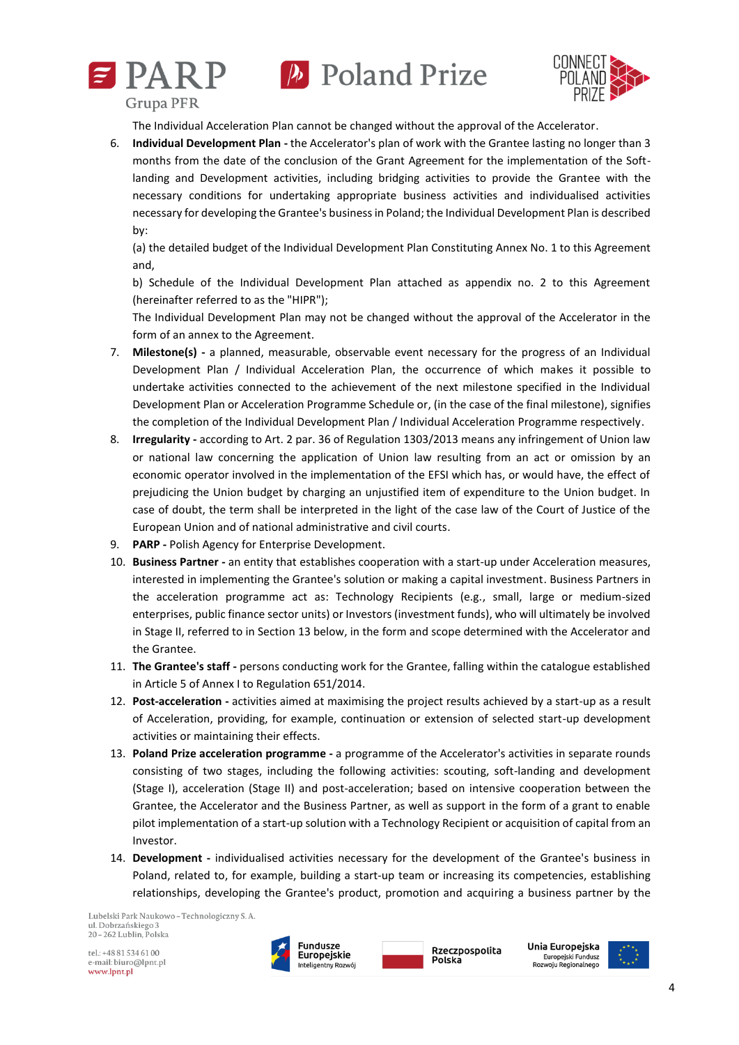





**Grupa PFR** 

The Individual Acceleration Plan cannot be changed without the approval of the Accelerator.

6. **Individual Development Plan -** the Accelerator's plan of work with the Grantee lasting no longer than 3 months from the date of the conclusion of the Grant Agreement for the implementation of the Softlanding and Development activities, including bridging activities to provide the Grantee with the necessary conditions for undertaking appropriate business activities and individualised activities necessary for developing the Grantee's business in Poland; the Individual Development Plan is described by:

(a) the detailed budget of the Individual Development Plan Constituting Annex No. 1 to this Agreement and,

b) Schedule of the Individual Development Plan attached as appendix no. 2 to this Agreement (hereinafter referred to as the "HIPR");

The Individual Development Plan may not be changed without the approval of the Accelerator in the form of an annex to the Agreement.

- 7. **Milestone(s) -** a planned, measurable, observable event necessary for the progress of an Individual Development Plan / Individual Acceleration Plan, the occurrence of which makes it possible to undertake activities connected to the achievement of the next milestone specified in the Individual Development Plan or Acceleration Programme Schedule or, (in the case of the final milestone), signifies the completion of the Individual Development Plan / Individual Acceleration Programme respectively.
- 8. **Irregularity -** according to Art. 2 par. 36 of Regulation 1303/2013 means any infringement of Union law or national law concerning the application of Union law resulting from an act or omission by an economic operator involved in the implementation of the EFSI which has, or would have, the effect of prejudicing the Union budget by charging an unjustified item of expenditure to the Union budget. In case of doubt, the term shall be interpreted in the light of the case law of the Court of Justice of the European Union and of national administrative and civil courts.
- 9. **PARP -** Polish Agency for Enterprise Development.
- 10. **Business Partner -** an entity that establishes cooperation with a start-up under Acceleration measures, interested in implementing the Grantee's solution or making a capital investment. Business Partners in the acceleration programme act as: Technology Recipients (e.g., small, large or medium-sized enterprises, public finance sector units) or Investors (investment funds), who will ultimately be involved in Stage II, referred to in Section 13 below, in the form and scope determined with the Accelerator and the Grantee.
- 11. **The Grantee's staff -** persons conducting work for the Grantee, falling within the catalogue established in Article 5 of Annex I to Regulation 651/2014.
- 12. **Post-acceleration -** activities aimed at maximising the project results achieved by a start-up as a result of Acceleration, providing, for example, continuation or extension of selected start-up development activities or maintaining their effects.
- 13. **Poland Prize acceleration programme -** a programme of the Accelerator's activities in separate rounds consisting of two stages, including the following activities: scouting, soft-landing and development (Stage I), acceleration (Stage II) and post-acceleration; based on intensive cooperation between the Grantee, the Accelerator and the Business Partner, as well as support in the form of a grant to enable pilot implementation of a start-up solution with a Technology Recipient or acquisition of capital from an Investor.
- 14. **Development -** individualised activities necessary for the development of the Grantee's business in Poland, related to, for example, building a start-up team or increasing its competencies, establishing relationships, developing the Grantee's product, promotion and acquiring a business partner by the

Lubelski Park Naukowo - Technologiczny S. A. ul. Dobrzańskiego 3 20 - 262 Lublin, Polska

 $rel \cdot + 48815346100$ e-mail: biuro@lpnt.pl www.lpnt.pl





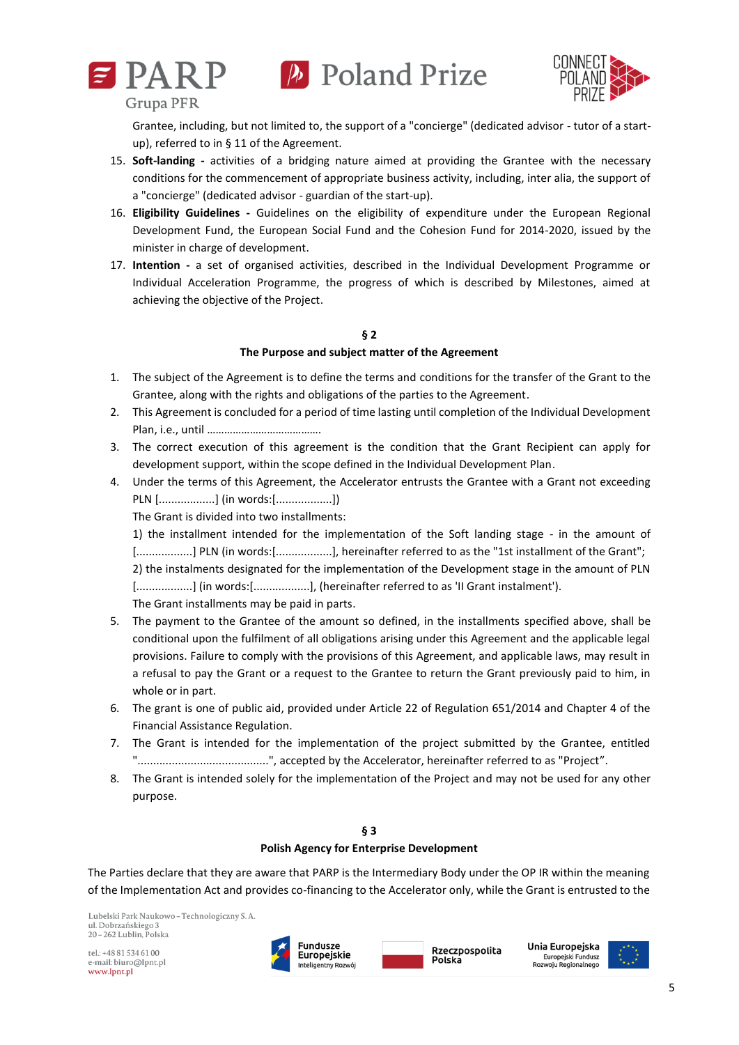





Grantee, including, but not limited to, the support of a "concierge" (dedicated advisor - tutor of a startup), referred to in § 11 of the Agreement.

- 15. **Soft-landing -** activities of a bridging nature aimed at providing the Grantee with the necessary conditions for the commencement of appropriate business activity, including, inter alia, the support of a "concierge" (dedicated advisor - guardian of the start-up).
- 16. **Eligibility Guidelines -** Guidelines on the eligibility of expenditure under the European Regional Development Fund, the European Social Fund and the Cohesion Fund for 2014-2020, issued by the minister in charge of development.
- 17. **Intention -** a set of organised activities, described in the Individual Development Programme or Individual Acceleration Programme, the progress of which is described by Milestones, aimed at achieving the objective of the Project.

## **§ 2 The Purpose and subject matter of the Agreement**

- 1. The subject of the Agreement is to define the terms and conditions for the transfer of the Grant to the Grantee, along with the rights and obligations of the parties to the Agreement.
- 2. This Agreement is concluded for a period of time lasting until completion of the Individual Development Plan, i.e., until ………………………………….
- 3. The correct execution of this agreement is the condition that the Grant Recipient can apply for development support, within the scope defined in the Individual Development Plan.
- 4. Under the terms of this Agreement, the Accelerator entrusts the Grantee with a Grant not exceeding PLN [..................] (in words:[..................])

The Grant is divided into two installments:

1) the installment intended for the implementation of the Soft landing stage - in the amount of [..................] PLN (in words:[..................], hereinafter referred to as the "1st installment of the Grant";

2) the instalments designated for the implementation of the Development stage in the amount of PLN [.................] (in words: [.................], (hereinafter referred to as 'II Grant instalment').

The Grant installments may be paid in parts.

- 5. The payment to the Grantee of the amount so defined, in the installments specified above, shall be conditional upon the fulfilment of all obligations arising under this Agreement and the applicable legal provisions. Failure to comply with the provisions of this Agreement, and applicable laws, may result in a refusal to pay the Grant or a request to the Grantee to return the Grant previously paid to him, in whole or in part.
- 6. The grant is one of public aid, provided under Article 22 of Regulation 651/2014 and Chapter 4 of the Financial Assistance Regulation.
- 7. The Grant is intended for the implementation of the project submitted by the Grantee, entitled "..........................................", accepted by the Accelerator, hereinafter referred to as "Project".
- 8. The Grant is intended solely for the implementation of the Project and may not be used for any other purpose.

## **§ 3**

## **Polish Agency for Enterprise Development**

The Parties declare that they are aware that PARP is the Intermediary Body under the OP IR within the meaning of the Implementation Act and provides co-financing to the Accelerator only, while the Grant is entrusted to the

Lubelski Park Naukowo - Technologiczny S. A ul. Dobrzańskiego 3 20 - 262 Lublin, Polska







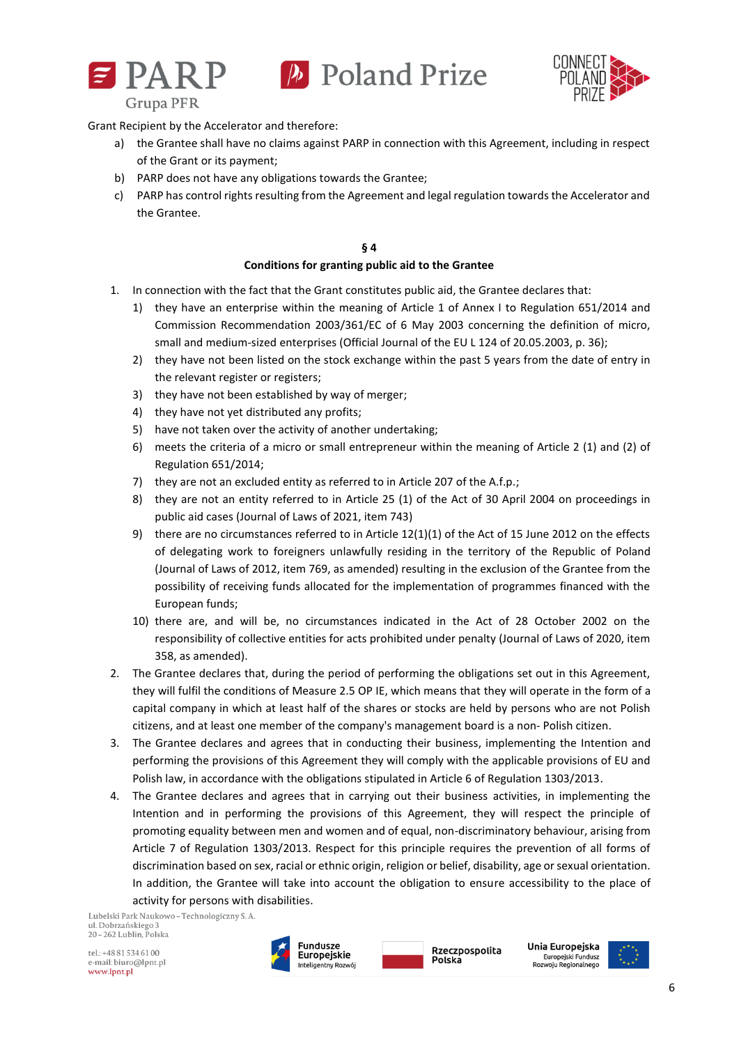



Grant Recipient by the Accelerator and therefore:

- a) the Grantee shall have no claims against PARP in connection with this Agreement, including in respect of the Grant or its payment;
- b) PARP does not have any obligations towards the Grantee;
- c) PARP has control rights resulting from the Agreement and legal regulation towards the Accelerator and the Grantee.

#### **§ 4 Conditions for granting public aid to the Grantee**

- 1. In connection with the fact that the Grant constitutes public aid, the Grantee declares that:
	- 1) they have an enterprise within the meaning of Article 1 of Annex I to Regulation 651/2014 and Commission Recommendation 2003/361/EC of 6 May 2003 concerning the definition of micro, small and medium-sized enterprises (Official Journal of the EU L 124 of 20.05.2003, p. 36);
	- 2) they have not been listed on the stock exchange within the past 5 years from the date of entry in the relevant register or registers;
	- 3) they have not been established by way of merger;
	- 4) they have not yet distributed any profits;
	- 5) have not taken over the activity of another undertaking;
	- 6) meets the criteria of a micro or small entrepreneur within the meaning of Article 2 (1) and (2) of Regulation 651/2014;
	- 7) they are not an excluded entity as referred to in Article 207 of the A.f.p.;
	- 8) they are not an entity referred to in Article 25 (1) of the Act of 30 April 2004 on proceedings in public aid cases (Journal of Laws of 2021, item 743)
	- 9) there are no circumstances referred to in Article 12(1)(1) of the Act of 15 June 2012 on the effects of delegating work to foreigners unlawfully residing in the territory of the Republic of Poland (Journal of Laws of 2012, item 769, as amended) resulting in the exclusion of the Grantee from the possibility of receiving funds allocated for the implementation of programmes financed with the European funds;
	- 10) there are, and will be, no circumstances indicated in the Act of 28 October 2002 on the responsibility of collective entities for acts prohibited under penalty (Journal of Laws of 2020, item 358, as amended).
- 2. The Grantee declares that, during the period of performing the obligations set out in this Agreement, they will fulfil the conditions of Measure 2.5 OP IE, which means that they will operate in the form of a capital company in which at least half of the shares or stocks are held by persons who are not Polish citizens, and at least one member of the company's management board is a non- Polish citizen.
- 3. The Grantee declares and agrees that in conducting their business, implementing the Intention and performing the provisions of this Agreement they will comply with the applicable provisions of EU and Polish law, in accordance with the obligations stipulated in Article 6 of Regulation 1303/2013.
- 4. The Grantee declares and agrees that in carrying out their business activities, in implementing the Intention and in performing the provisions of this Agreement, they will respect the principle of promoting equality between men and women and of equal, non-discriminatory behaviour, arising from Article 7 of Regulation 1303/2013. Respect for this principle requires the prevention of all forms of discrimination based on sex, racial or ethnic origin, religion or belief, disability, age or sexual orientation. In addition, the Grantee will take into account the obligation to ensure accessibility to the place of activity for persons with disabilities.

Lubelski Park Naukowo - Technologiczny S. A. ul. Dobrzańskiego 3 20 - 262 Lublin, Polska





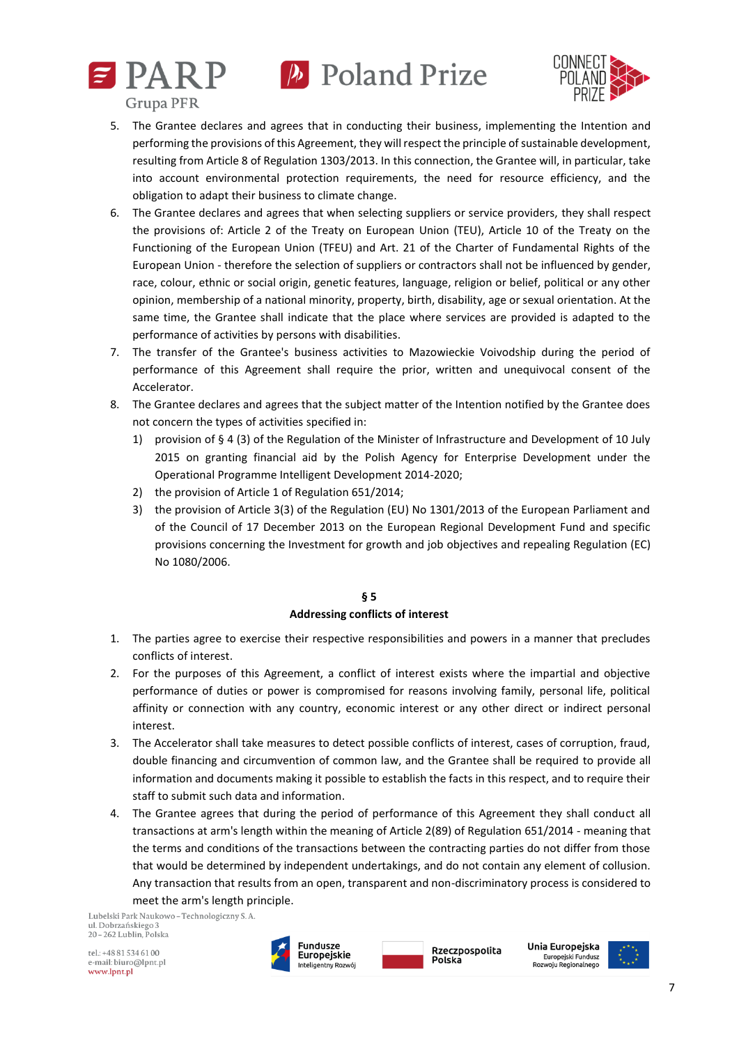



- 5. The Grantee declares and agrees that in conducting their business, implementing the Intention and performing the provisions of this Agreement, they will respect the principle of sustainable development, resulting from Article 8 of Regulation 1303/2013. In this connection, the Grantee will, in particular, take into account environmental protection requirements, the need for resource efficiency, and the obligation to adapt their business to climate change.
- 6. The Grantee declares and agrees that when selecting suppliers or service providers, they shall respect the provisions of: Article 2 of the Treaty on European Union (TEU), Article 10 of the Treaty on the Functioning of the European Union (TFEU) and Art. 21 of the Charter of Fundamental Rights of the European Union - therefore the selection of suppliers or contractors shall not be influenced by gender, race, colour, ethnic or social origin, genetic features, language, religion or belief, political or any other opinion, membership of a national minority, property, birth, disability, age or sexual orientation. At the same time, the Grantee shall indicate that the place where services are provided is adapted to the performance of activities by persons with disabilities.
- 7. The transfer of the Grantee's business activities to Mazowieckie Voivodship during the period of performance of this Agreement shall require the prior, written and unequivocal consent of the Accelerator.
- 8. The Grantee declares and agrees that the subject matter of the Intention notified by the Grantee does not concern the types of activities specified in:
	- 1) provision of § 4 (3) of the Regulation of the Minister of Infrastructure and Development of 10 July 2015 on granting financial aid by the Polish Agency for Enterprise Development under the Operational Programme Intelligent Development 2014-2020;
	- 2) the provision of Article 1 of Regulation 651/2014;
	- 3) the provision of Article 3(3) of the Regulation (EU) No 1301/2013 of the European Parliament and of the Council of 17 December 2013 on the European Regional Development Fund and specific provisions concerning the Investment for growth and job objectives and repealing Regulation (EC) No 1080/2006.

## **§ 5 Addressing conflicts of interest**

- 1. The parties agree to exercise their respective responsibilities and powers in a manner that precludes conflicts of interest.
- 2. For the purposes of this Agreement, a conflict of interest exists where the impartial and objective performance of duties or power is compromised for reasons involving family, personal life, political affinity or connection with any country, economic interest or any other direct or indirect personal interest.
- 3. The Accelerator shall take measures to detect possible conflicts of interest, cases of corruption, fraud, double financing and circumvention of common law, and the Grantee shall be required to provide all information and documents making it possible to establish the facts in this respect, and to require their staff to submit such data and information.
- 4. The Grantee agrees that during the period of performance of this Agreement they shall conduct all transactions at arm's length within the meaning of Article 2(89) of Regulation 651/2014 - meaning that the terms and conditions of the transactions between the contracting parties do not differ from those that would be determined by independent undertakings, and do not contain any element of collusion. Any transaction that results from an open, transparent and non-discriminatory process is considered to meet the arm's length principle.

Lubelski Park Naukowo - Technologiczny S. A. ul. Dobrzańskiego 3 20-262 Lublin, Polska

 $rel \cdot + 48815346100$ e-mail: biuro@lpnt.pl www.lpnt.pl





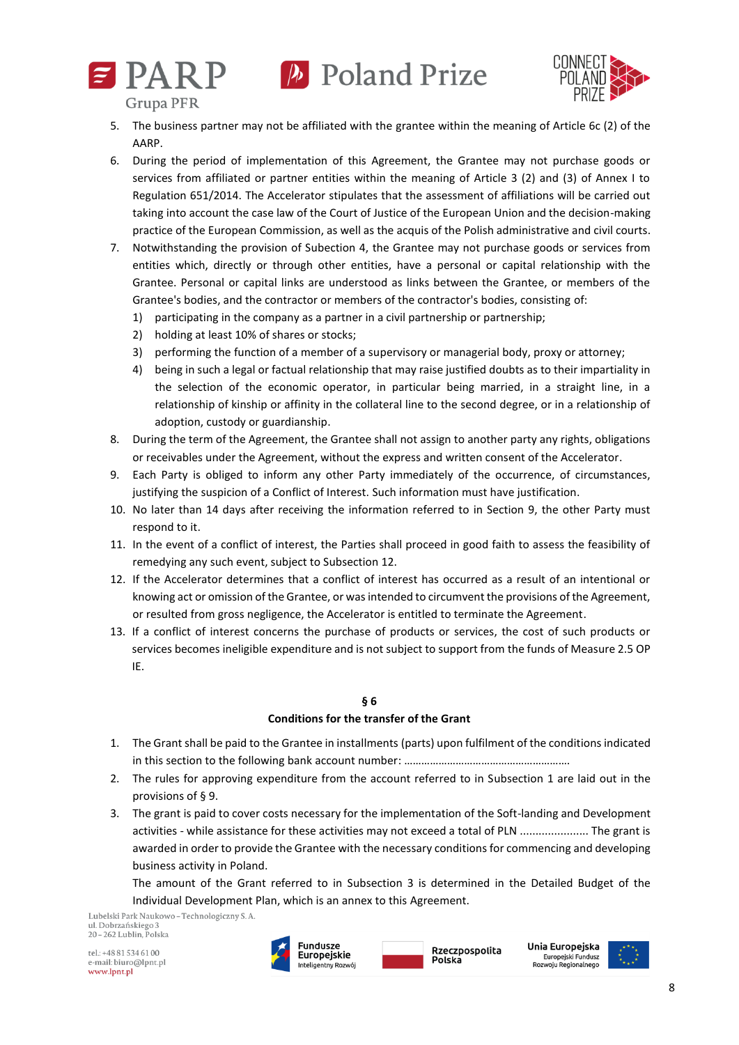





**Grupa PFR** 

- 5. The business partner may not be affiliated with the grantee within the meaning of Article 6c (2) of the AARP.
- 6. During the period of implementation of this Agreement, the Grantee may not purchase goods or services from affiliated or partner entities within the meaning of Article 3 (2) and (3) of Annex I to Regulation 651/2014. The Accelerator stipulates that the assessment of affiliations will be carried out taking into account the case law of the Court of Justice of the European Union and the decision-making practice of the European Commission, as well as the acquis of the Polish administrative and civil courts.
- 7. Notwithstanding the provision of Subection 4, the Grantee may not purchase goods or services from entities which, directly or through other entities, have a personal or capital relationship with the Grantee. Personal or capital links are understood as links between the Grantee, or members of the Grantee's bodies, and the contractor or members of the contractor's bodies, consisting of:
	- 1) participating in the company as a partner in a civil partnership or partnership;
	- 2) holding at least 10% of shares or stocks;
	- 3) performing the function of a member of a supervisory or managerial body, proxy or attorney;
	- 4) being in such a legal or factual relationship that may raise justified doubts as to their impartiality in the selection of the economic operator, in particular being married, in a straight line, in a relationship of kinship or affinity in the collateral line to the second degree, or in a relationship of adoption, custody or guardianship.
- 8. During the term of the Agreement, the Grantee shall not assign to another party any rights, obligations or receivables under the Agreement, without the express and written consent of the Accelerator.
- 9. Each Party is obliged to inform any other Party immediately of the occurrence, of circumstances, justifying the suspicion of a Conflict of Interest. Such information must have justification.
- 10. No later than 14 days after receiving the information referred to in Section 9, the other Party must respond to it.
- 11. In the event of a conflict of interest, the Parties shall proceed in good faith to assess the feasibility of remedying any such event, subject to Subsection 12.
- 12. If the Accelerator determines that a conflict of interest has occurred as a result of an intentional or knowing act or omission of the Grantee, or was intended to circumvent the provisions of the Agreement, or resulted from gross negligence, the Accelerator is entitled to terminate the Agreement.
- 13. If a conflict of interest concerns the purchase of products or services, the cost of such products or services becomes ineligible expenditure and is not subject to support from the funds of Measure 2.5 OP IE.

## **§ 6**

## **Conditions for the transfer of the Grant**

- 1. The Grant shall be paid to the Grantee in installments (parts) upon fulfilment of the conditions indicated in this section to the following bank account number: ………………………………………………….
- 2. The rules for approving expenditure from the account referred to in Subsection 1 are laid out in the provisions of § 9.
- 3. The grant is paid to cover costs necessary for the implementation of the Soft-landing and Development activities - while assistance for these activities may not exceed a total of PLN ...................... The grant is awarded in order to provide the Grantee with the necessary conditions for commencing and developing business activity in Poland.

The amount of the Grant referred to in Subsection 3 is determined in the Detailed Budget of the Individual Development Plan, which is an annex to this Agreement.

Lubelski Park Naukowo - Technologiczny S. A. ul. Dobrzańskiego 3 20 - 262 Lublin, Polska





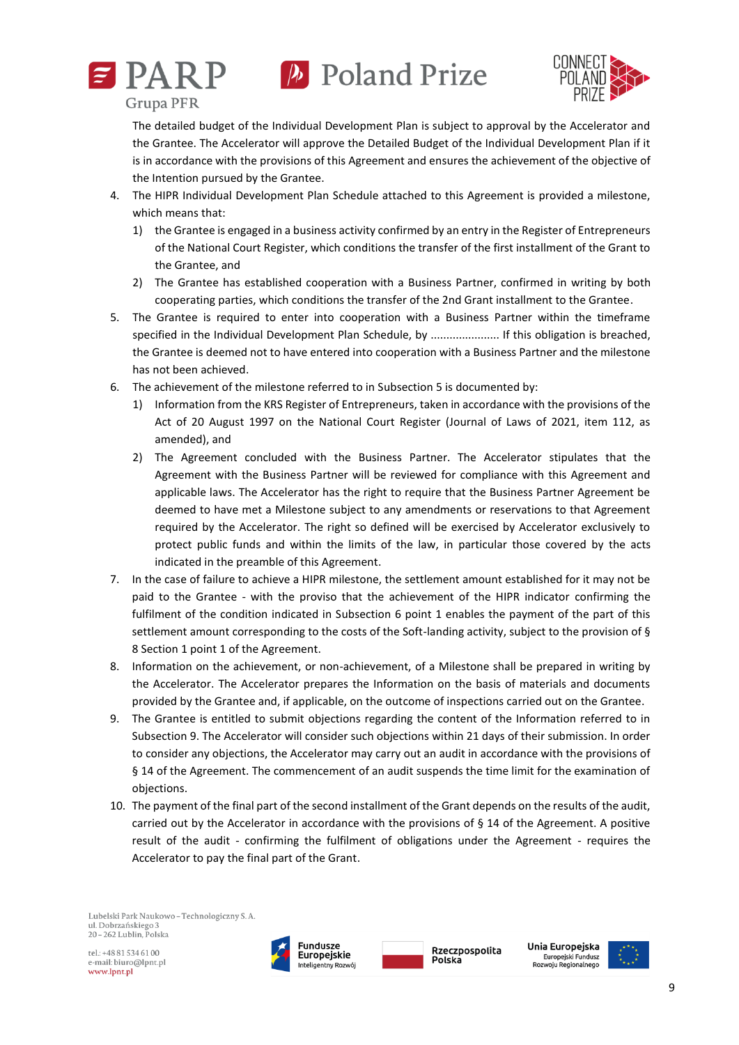



The detailed budget of the Individual Development Plan is subject to approval by the Accelerator and the Grantee. The Accelerator will approve the Detailed Budget of the Individual Development Plan if it is in accordance with the provisions of this Agreement and ensures the achievement of the objective of the Intention pursued by the Grantee.

- 4. The HIPR Individual Development Plan Schedule attached to this Agreement is provided a milestone, which means that:
	- 1) the Grantee is engaged in a business activity confirmed by an entry in the Register of Entrepreneurs of the National Court Register, which conditions the transfer of the first installment of the Grant to the Grantee, and
	- 2) The Grantee has established cooperation with a Business Partner, confirmed in writing by both cooperating parties, which conditions the transfer of the 2nd Grant installment to the Grantee.
- 5. The Grantee is required to enter into cooperation with a Business Partner within the timeframe specified in the Individual Development Plan Schedule, by ...................... If this obligation is breached, the Grantee is deemed not to have entered into cooperation with a Business Partner and the milestone has not been achieved.
- 6. The achievement of the milestone referred to in Subsection 5 is documented by:
	- 1) Information from the KRS Register of Entrepreneurs, taken in accordance with the provisions of the Act of 20 August 1997 on the National Court Register (Journal of Laws of 2021, item 112, as amended), and
	- 2) The Agreement concluded with the Business Partner. The Accelerator stipulates that the Agreement with the Business Partner will be reviewed for compliance with this Agreement and applicable laws. The Accelerator has the right to require that the Business Partner Agreement be deemed to have met a Milestone subject to any amendments or reservations to that Agreement required by the Accelerator. The right so defined will be exercised by Accelerator exclusively to protect public funds and within the limits of the law, in particular those covered by the acts indicated in the preamble of this Agreement.
- 7. In the case of failure to achieve a HIPR milestone, the settlement amount established for it may not be paid to the Grantee - with the proviso that the achievement of the HIPR indicator confirming the fulfilment of the condition indicated in Subsection 6 point 1 enables the payment of the part of this settlement amount corresponding to the costs of the Soft-landing activity, subject to the provision of § 8 Section 1 point 1 of the Agreement.
- 8. Information on the achievement, or non-achievement, of a Milestone shall be prepared in writing by the Accelerator. The Accelerator prepares the Information on the basis of materials and documents provided by the Grantee and, if applicable, on the outcome of inspections carried out on the Grantee.
- 9. The Grantee is entitled to submit objections regarding the content of the Information referred to in Subsection 9. The Accelerator will consider such objections within 21 days of their submission. In order to consider any objections, the Accelerator may carry out an audit in accordance with the provisions of § 14 of the Agreement. The commencement of an audit suspends the time limit for the examination of objections.
- 10. The payment of the final part of the second installment of the Grant depends on the results of the audit, carried out by the Accelerator in accordance with the provisions of § 14 of the Agreement. A positive result of the audit - confirming the fulfilment of obligations under the Agreement - requires the Accelerator to pay the final part of the Grant.

Lubelski Park Naukowo - Technologiczny S. A. ul. Dobrzańskiego 3 20 - 262 Lublin, Polska





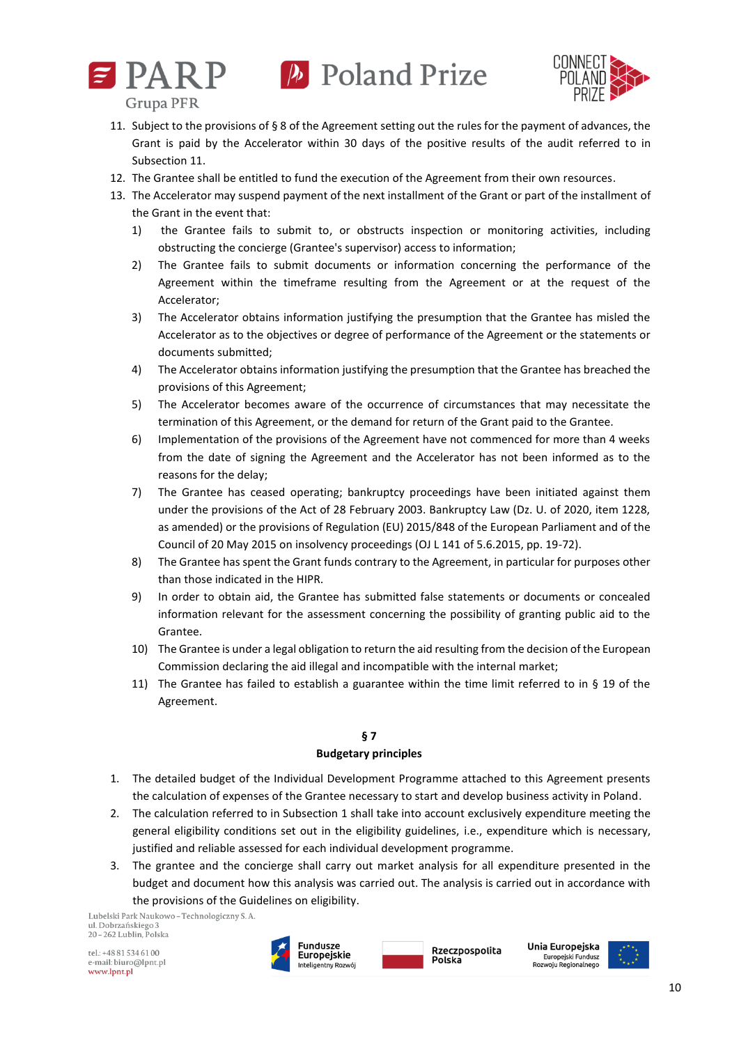



- 11. Subject to the provisions of § 8 of the Agreement setting out the rules for the payment of advances, the Grant is paid by the Accelerator within 30 days of the positive results of the audit referred to in Subsection 11.
- 12. The Grantee shall be entitled to fund the execution of the Agreement from their own resources.
- 13. The Accelerator may suspend payment of the next installment of the Grant or part of the installment of the Grant in the event that:
	- 1) the Grantee fails to submit to, or obstructs inspection or monitoring activities, including obstructing the concierge (Grantee's supervisor) access to information;
	- 2) The Grantee fails to submit documents or information concerning the performance of the Agreement within the timeframe resulting from the Agreement or at the request of the Accelerator;
	- 3) The Accelerator obtains information justifying the presumption that the Grantee has misled the Accelerator as to the objectives or degree of performance of the Agreement or the statements or documents submitted;
	- 4) The Accelerator obtains information justifying the presumption that the Grantee has breached the provisions of this Agreement;
	- 5) The Accelerator becomes aware of the occurrence of circumstances that may necessitate the termination of this Agreement, or the demand for return of the Grant paid to the Grantee.
	- 6) Implementation of the provisions of the Agreement have not commenced for more than 4 weeks from the date of signing the Agreement and the Accelerator has not been informed as to the reasons for the delay;
	- 7) The Grantee has ceased operating; bankruptcy proceedings have been initiated against them under the provisions of the Act of 28 February 2003. Bankruptcy Law (Dz. U. of 2020, item 1228, as amended) or the provisions of Regulation (EU) 2015/848 of the European Parliament and of the Council of 20 May 2015 on insolvency proceedings (OJ L 141 of 5.6.2015, pp. 19-72).
	- 8) The Grantee has spent the Grant funds contrary to the Agreement, in particular for purposes other than those indicated in the HIPR.
	- 9) In order to obtain aid, the Grantee has submitted false statements or documents or concealed information relevant for the assessment concerning the possibility of granting public aid to the Grantee.
	- 10) The Grantee is under a legal obligation to return the aid resulting from the decision of the European Commission declaring the aid illegal and incompatible with the internal market;
	- 11) The Grantee has failed to establish a guarantee within the time limit referred to in § 19 of the Agreement.

## **§ 7**

## **Budgetary principles**

- 1. The detailed budget of the Individual Development Programme attached to this Agreement presents the calculation of expenses of the Grantee necessary to start and develop business activity in Poland.
- 2. The calculation referred to in Subsection 1 shall take into account exclusively expenditure meeting the general eligibility conditions set out in the eligibility guidelines, i.e., expenditure which is necessary, justified and reliable assessed for each individual development programme.
- 3. The grantee and the concierge shall carry out market analysis for all expenditure presented in the budget and document how this analysis was carried out. The analysis is carried out in accordance with the provisions of the Guidelines on eligibility.

Lubelski Park Naukowo - Technologiczny S. A. ul. Dobrzańskiego 3 20 - 262 Lublin, Polska

tel.: +48 81 534 61 00 e-mail: biuro@lpnt.pl www.lpnt.pl





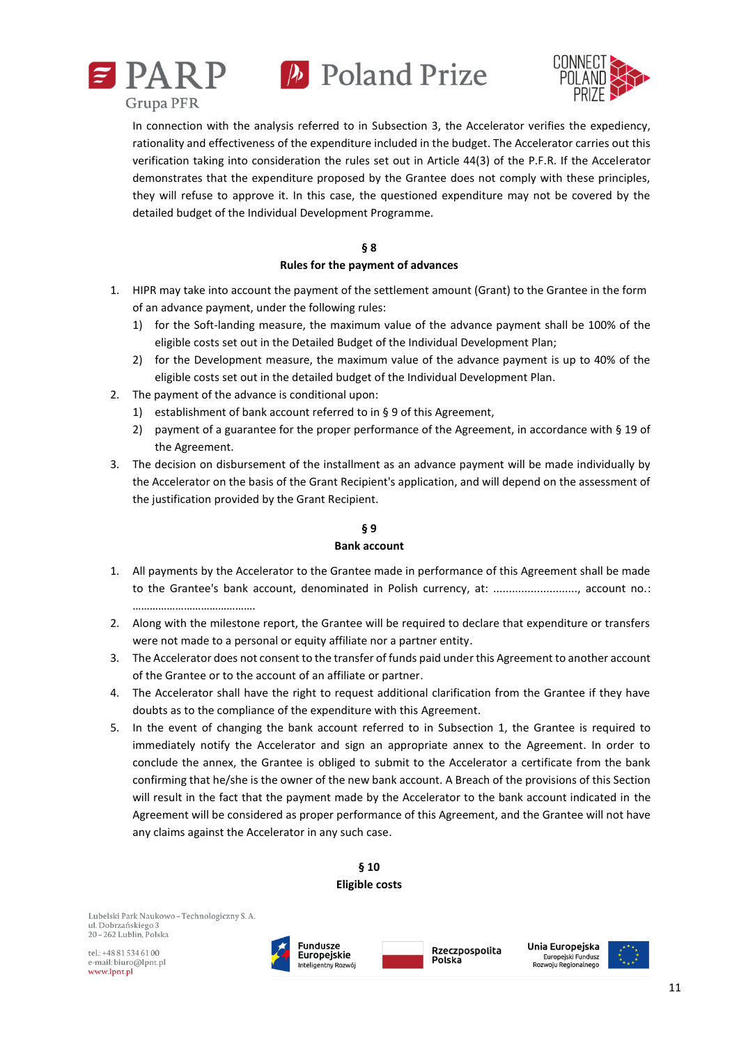





In connection with the analysis referred to in Subsection 3, the Accelerator verifies the expediency, rationality and effectiveness of the expenditure included in the budget. The Accelerator carries out this verification taking into consideration the rules set out in Article 44(3) of the P.F.R. If the Accelerator demonstrates that the expenditure proposed by the Grantee does not comply with these principles, they will refuse to approve it. In this case, the questioned expenditure may not be covered by the detailed budget of the Individual Development Programme.

## **§ 8**

## **Rules for the payment of advances**

- 1. HIPR may take into account the payment of the settlement amount (Grant) to the Grantee in the form of an advance payment, under the following rules:
	- 1) for the Soft-landing measure, the maximum value of the advance payment shall be 100% of the eligible costs set out in the Detailed Budget of the Individual Development Plan;
	- 2) for the Development measure, the maximum value of the advance payment is up to 40% of the eligible costs set out in the detailed budget of the Individual Development Plan.
- 2. The payment of the advance is conditional upon:
	- 1) establishment of bank account referred to in § 9 of this Agreement,
	- 2) payment of a guarantee for the proper performance of the Agreement, in accordance with § 19 of the Agreement.
- 3. The decision on disbursement of the installment as an advance payment will be made individually by the Accelerator on the basis of the Grant Recipient's application, and will depend on the assessment of the justification provided by the Grant Recipient.

## **§ 9 Bank account**

## 1. All payments by the Accelerator to the Grantee made in performance of this Agreement shall be made to the Grantee's bank account, denominated in Polish currency, at: ..........................., account no.:

- 2. Along with the milestone report, the Grantee will be required to declare that expenditure or transfers were not made to a personal or equity affiliate nor a partner entity.
- 3. The Accelerator does not consent to the transfer of funds paid under this Agreement to another account of the Grantee or to the account of an affiliate or partner.
- 4. The Accelerator shall have the right to request additional clarification from the Grantee if they have doubts as to the compliance of the expenditure with this Agreement.
- 5. In the event of changing the bank account referred to in Subsection 1, the Grantee is required to immediately notify the Accelerator and sign an appropriate annex to the Agreement. In order to conclude the annex, the Grantee is obliged to submit to the Accelerator a certificate from the bank confirming that he/she is the owner of the new bank account. A Breach of the provisions of this Section will result in the fact that the payment made by the Accelerator to the bank account indicated in the Agreement will be considered as proper performance of this Agreement, and the Grantee will not have any claims against the Accelerator in any such case.



Lubelski Park Naukowo - Technologiczny S. A. ul. Dobrzańskiego 3 20 - 262 Lublin, Polska

…………………………………

tel.: +48 81 534 61 00 e-mail: biuro@lpnt.pl www.lpnt.pl



Rzeczpospolita Polska

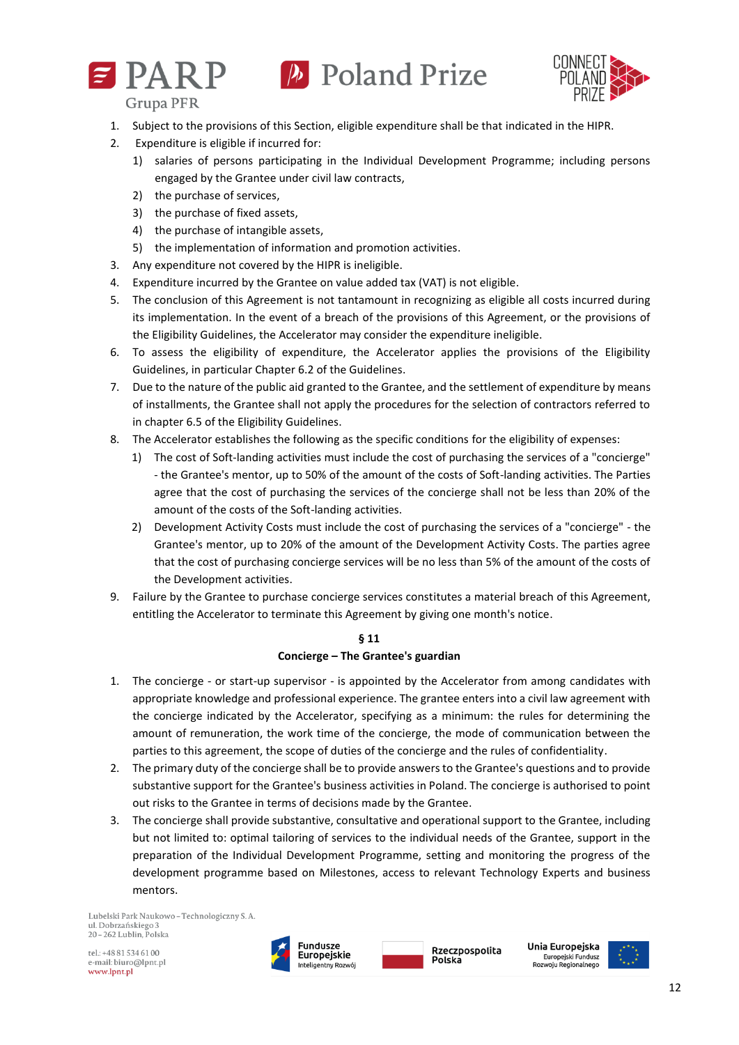



**Grupa PFR** 

- 1. Subject to the provisions of this Section, eligible expenditure shall be that indicated in the HIPR.
- 2. Expenditure is eligible if incurred for:
	- 1) salaries of persons participating in the Individual Development Programme; including persons engaged by the Grantee under civil law contracts,
	- 2) the purchase of services,
	- 3) the purchase of fixed assets,
	- 4) the purchase of intangible assets,
	- 5) the implementation of information and promotion activities.
- 3. Any expenditure not covered by the HIPR is ineligible.
- 4. Expenditure incurred by the Grantee on value added tax (VAT) is not eligible.
- 5. The conclusion of this Agreement is not tantamount in recognizing as eligible all costs incurred during its implementation. In the event of a breach of the provisions of this Agreement, or the provisions of the Eligibility Guidelines, the Accelerator may consider the expenditure ineligible.
- 6. To assess the eligibility of expenditure, the Accelerator applies the provisions of the Eligibility Guidelines, in particular Chapter 6.2 of the Guidelines.
- 7. Due to the nature of the public aid granted to the Grantee, and the settlement of expenditure by means of installments, the Grantee shall not apply the procedures for the selection of contractors referred to in chapter 6.5 of the Eligibility Guidelines.
- 8. The Accelerator establishes the following as the specific conditions for the eligibility of expenses:
	- 1) The cost of Soft-landing activities must include the cost of purchasing the services of a "concierge" - the Grantee's mentor, up to 50% of the amount of the costs of Soft-landing activities. The Parties agree that the cost of purchasing the services of the concierge shall not be less than 20% of the amount of the costs of the Soft-landing activities.
	- 2) Development Activity Costs must include the cost of purchasing the services of a "concierge" the Grantee's mentor, up to 20% of the amount of the Development Activity Costs. The parties agree that the cost of purchasing concierge services will be no less than 5% of the amount of the costs of the Development activities.
- 9. Failure by the Grantee to purchase concierge services constitutes a material breach of this Agreement, entitling the Accelerator to terminate this Agreement by giving one month's notice.

## **§ 11 Concierge – The Grantee's guardian**

- 1. The concierge or start-up supervisor is appointed by the Accelerator from among candidates with appropriate knowledge and professional experience. The grantee enters into a civil law agreement with the concierge indicated by the Accelerator, specifying as a minimum: the rules for determining the amount of remuneration, the work time of the concierge, the mode of communication between the parties to this agreement, the scope of duties of the concierge and the rules of confidentiality.
- 2. The primary duty of the concierge shall be to provide answers to the Grantee's questions and to provide substantive support for the Grantee's business activities in Poland. The concierge is authorised to point out risks to the Grantee in terms of decisions made by the Grantee.
- 3. The concierge shall provide substantive, consultative and operational support to the Grantee, including but not limited to: optimal tailoring of services to the individual needs of the Grantee, support in the preparation of the Individual Development Programme, setting and monitoring the progress of the development programme based on Milestones, access to relevant Technology Experts and business mentors.

Lubelski Park Naukowo - Technologiczny S. A. ul Dobrzańskiego? 20-262 Lublin, Polska





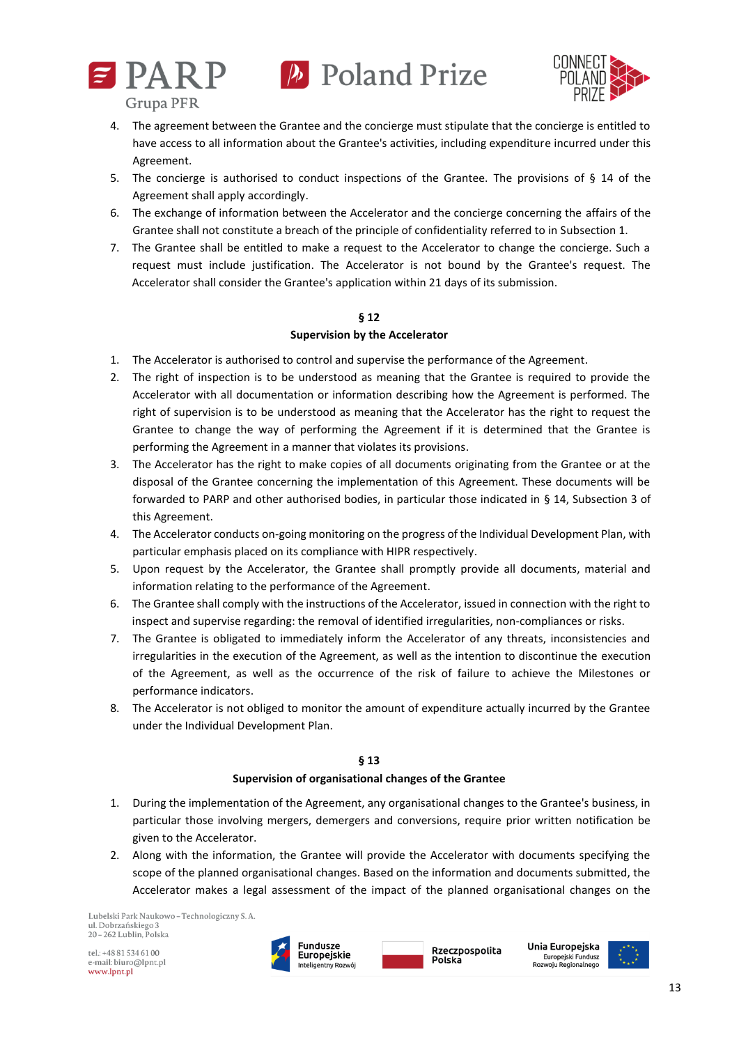



- 4. The agreement between the Grantee and the concierge must stipulate that the concierge is entitled to have access to all information about the Grantee's activities, including expenditure incurred under this Agreement.
- 5. The concierge is authorised to conduct inspections of the Grantee. The provisions of § 14 of the Agreement shall apply accordingly.
- 6. The exchange of information between the Accelerator and the concierge concerning the affairs of the Grantee shall not constitute a breach of the principle of confidentiality referred to in Subsection 1.
- 7. The Grantee shall be entitled to make a request to the Accelerator to change the concierge. Such a request must include justification. The Accelerator is not bound by the Grantee's request. The Accelerator shall consider the Grantee's application within 21 days of its submission.

## **§ 12**

## **Supervision by the Accelerator**

- 1. The Accelerator is authorised to control and supervise the performance of the Agreement.
- 2. The right of inspection is to be understood as meaning that the Grantee is required to provide the Accelerator with all documentation or information describing how the Agreement is performed. The right of supervision is to be understood as meaning that the Accelerator has the right to request the Grantee to change the way of performing the Agreement if it is determined that the Grantee is performing the Agreement in a manner that violates its provisions.
- 3. The Accelerator has the right to make copies of all documents originating from the Grantee or at the disposal of the Grantee concerning the implementation of this Agreement. These documents will be forwarded to PARP and other authorised bodies, in particular those indicated in § 14, Subsection 3 of this Agreement.
- 4. The Accelerator conducts on-going monitoring on the progress of the Individual Development Plan, with particular emphasis placed on its compliance with HIPR respectively.
- 5. Upon request by the Accelerator, the Grantee shall promptly provide all documents, material and information relating to the performance of the Agreement.
- 6. The Grantee shall comply with the instructions of the Accelerator, issued in connection with the right to inspect and supervise regarding: the removal of identified irregularities, non-compliances or risks.
- 7. The Grantee is obligated to immediately inform the Accelerator of any threats, inconsistencies and irregularities in the execution of the Agreement, as well as the intention to discontinue the execution of the Agreement, as well as the occurrence of the risk of failure to achieve the Milestones or performance indicators.
- 8. The Accelerator is not obliged to monitor the amount of expenditure actually incurred by the Grantee under the Individual Development Plan.

## **§ 13**

## **Supervision of organisational changes of the Grantee**

- 1. During the implementation of the Agreement, any organisational changes to the Grantee's business, in particular those involving mergers, demergers and conversions, require prior written notification be given to the Accelerator.
- 2. Along with the information, the Grantee will provide the Accelerator with documents specifying the scope of the planned organisational changes. Based on the information and documents submitted, the Accelerator makes a legal assessment of the impact of the planned organisational changes on the

Lubelski Park Naukowo - Technologiczny S. A. ul. Dobrzańskiego 3 20 - 262 Lublin, Polska





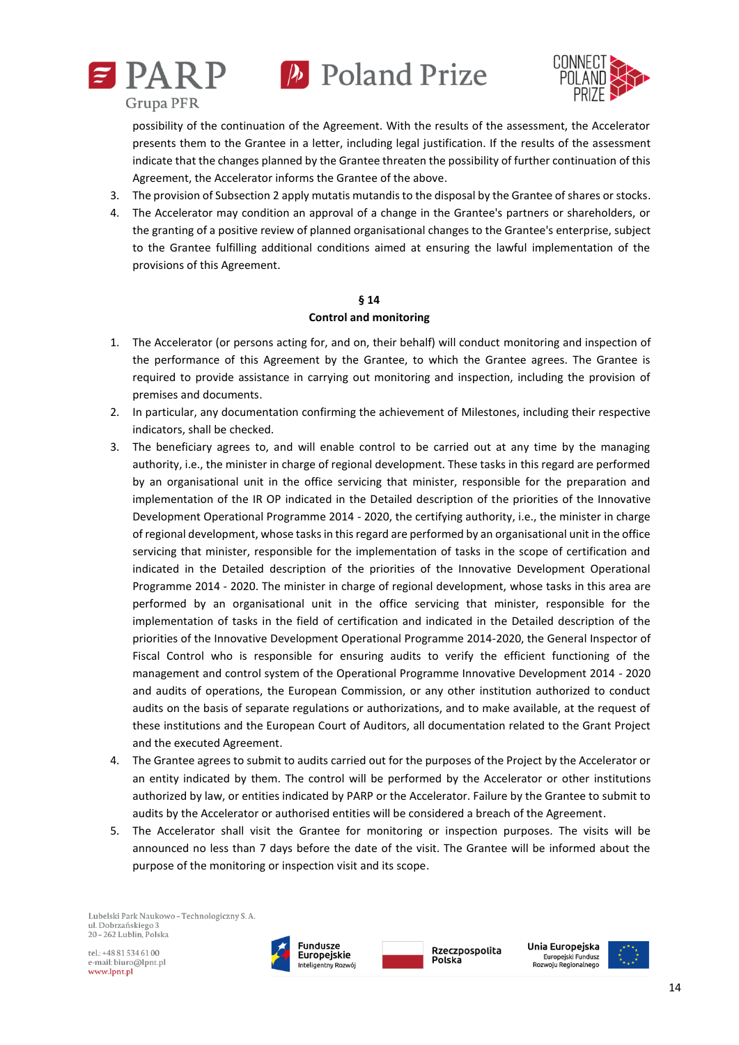





possibility of the continuation of the Agreement. With the results of the assessment, the Accelerator presents them to the Grantee in a letter, including legal justification. If the results of the assessment indicate that the changes planned by the Grantee threaten the possibility of further continuation of this Agreement, the Accelerator informs the Grantee of the above.

- 3. The provision of Subsection 2 apply mutatis mutandis to the disposal by the Grantee of shares or stocks.
- 4. The Accelerator may condition an approval of a change in the Grantee's partners or shareholders, or the granting of a positive review of planned organisational changes to the Grantee's enterprise, subject to the Grantee fulfilling additional conditions aimed at ensuring the lawful implementation of the provisions of this Agreement.

## **§ 14**

#### **Control and monitoring**

- 1. The Accelerator (or persons acting for, and on, their behalf) will conduct monitoring and inspection of the performance of this Agreement by the Grantee, to which the Grantee agrees. The Grantee is required to provide assistance in carrying out monitoring and inspection, including the provision of premises and documents.
- 2. In particular, any documentation confirming the achievement of Milestones, including their respective indicators, shall be checked.
- 3. The beneficiary agrees to, and will enable control to be carried out at any time by the managing authority, i.e., the minister in charge of regional development. These tasks in this regard are performed by an organisational unit in the office servicing that minister, responsible for the preparation and implementation of the IR OP indicated in the Detailed description of the priorities of the Innovative Development Operational Programme 2014 - 2020, the certifying authority, i.e., the minister in charge of regional development, whose tasks in this regard are performed by an organisational unit in the office servicing that minister, responsible for the implementation of tasks in the scope of certification and indicated in the Detailed description of the priorities of the Innovative Development Operational Programme 2014 - 2020. The minister in charge of regional development, whose tasks in this area are performed by an organisational unit in the office servicing that minister, responsible for the implementation of tasks in the field of certification and indicated in the Detailed description of the priorities of the Innovative Development Operational Programme 2014-2020, the General Inspector of Fiscal Control who is responsible for ensuring audits to verify the efficient functioning of the management and control system of the Operational Programme Innovative Development 2014 - 2020 and audits of operations, the European Commission, or any other institution authorized to conduct audits on the basis of separate regulations or authorizations, and to make available, at the request of these institutions and the European Court of Auditors, all documentation related to the Grant Project and the executed Agreement.
- 4. The Grantee agrees to submit to audits carried out for the purposes of the Project by the Accelerator or an entity indicated by them. The control will be performed by the Accelerator or other institutions authorized by law, or entities indicated by PARP or the Accelerator. Failure by the Grantee to submit to audits by the Accelerator or authorised entities will be considered a breach of the Agreement.
- 5. The Accelerator shall visit the Grantee for monitoring or inspection purposes. The visits will be announced no less than 7 days before the date of the visit. The Grantee will be informed about the purpose of the monitoring or inspection visit and its scope.

Lubelski Park Naukowo - Technologiczny S. A. ul. Dobrzańskiego 3  $20 - 262$  Lublin. Polska

tel.: +48 81 534 61 00 e-mail: biuro@lpnt.pl www.lpnt.pl





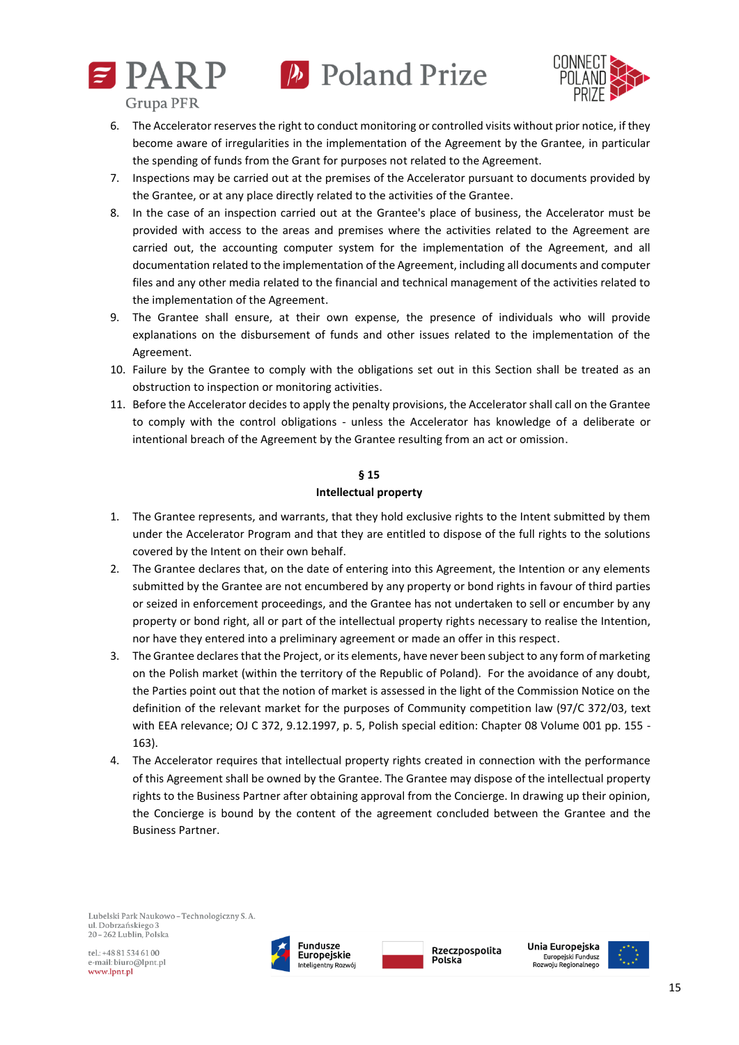



**Grupa PFR** 

- 6. The Accelerator reserves the right to conduct monitoring or controlled visits without prior notice, if they become aware of irregularities in the implementation of the Agreement by the Grantee, in particular the spending of funds from the Grant for purposes not related to the Agreement.
- 7. Inspections may be carried out at the premises of the Accelerator pursuant to documents provided by the Grantee, or at any place directly related to the activities of the Grantee.
- 8. In the case of an inspection carried out at the Grantee's place of business, the Accelerator must be provided with access to the areas and premises where the activities related to the Agreement are carried out, the accounting computer system for the implementation of the Agreement, and all documentation related to the implementation of the Agreement, including all documents and computer files and any other media related to the financial and technical management of the activities related to the implementation of the Agreement.
- 9. The Grantee shall ensure, at their own expense, the presence of individuals who will provide explanations on the disbursement of funds and other issues related to the implementation of the Agreement.
- 10. Failure by the Grantee to comply with the obligations set out in this Section shall be treated as an obstruction to inspection or monitoring activities.
- 11. Before the Accelerator decides to apply the penalty provisions, the Accelerator shall call on the Grantee to comply with the control obligations - unless the Accelerator has knowledge of a deliberate or intentional breach of the Agreement by the Grantee resulting from an act or omission.

## **§ 15**

## **Intellectual property**

- 1. The Grantee represents, and warrants, that they hold exclusive rights to the Intent submitted by them under the Accelerator Program and that they are entitled to dispose of the full rights to the solutions covered by the Intent on their own behalf.
- 2. The Grantee declares that, on the date of entering into this Agreement, the Intention or any elements submitted by the Grantee are not encumbered by any property or bond rights in favour of third parties or seized in enforcement proceedings, and the Grantee has not undertaken to sell or encumber by any property or bond right, all or part of the intellectual property rights necessary to realise the Intention, nor have they entered into a preliminary agreement or made an offer in this respect.
- 3. The Grantee declares that the Project, or its elements, have never been subject to any form of marketing on the Polish market (within the territory of the Republic of Poland). For the avoidance of any doubt, the Parties point out that the notion of market is assessed in the light of the Commission Notice on the definition of the relevant market for the purposes of Community competition law (97/C 372/03, text with EEA relevance; OJ C 372, 9.12.1997, p. 5, Polish special edition: Chapter 08 Volume 001 pp. 155 - 163).
- 4. The Accelerator requires that intellectual property rights created in connection with the performance of this Agreement shall be owned by the Grantee. The Grantee may dispose of the intellectual property rights to the Business Partner after obtaining approval from the Concierge. In drawing up their opinion, the Concierge is bound by the content of the agreement concluded between the Grantee and the Business Partner.

Lubelski Park Naukowo - Technologiczny S. A. ul. Dobrzańskiego 3 20 - 262 Lublin, Polska





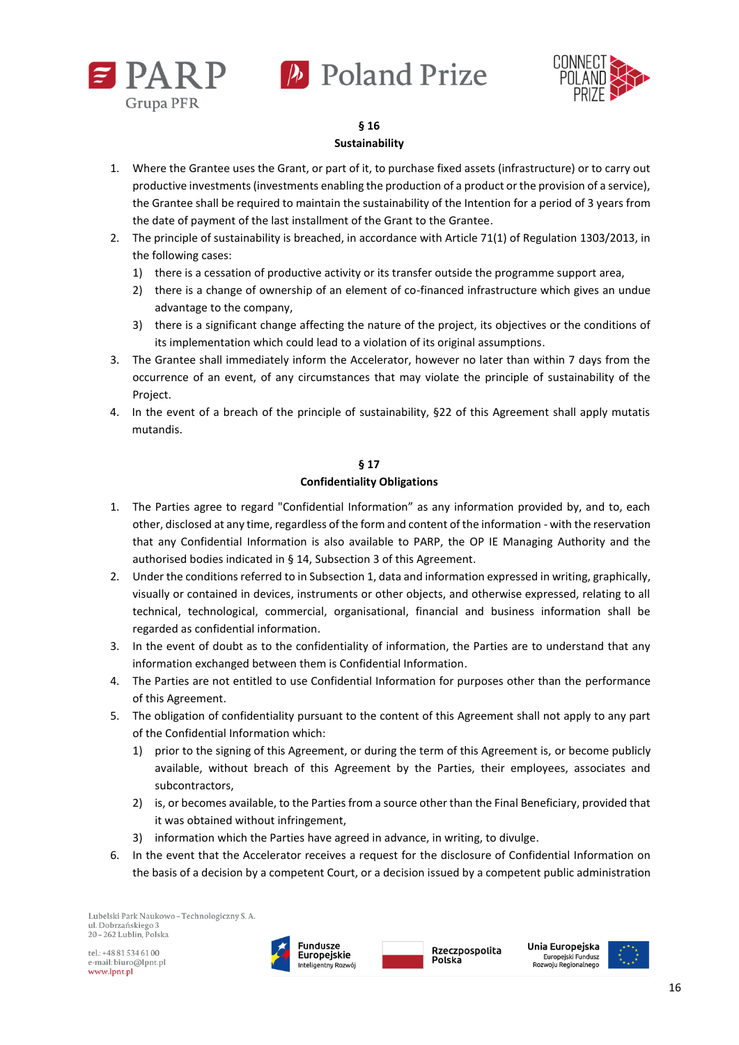





## **§ 16 Sustainability**

- 1. Where the Grantee uses the Grant, or part of it, to purchase fixed assets (infrastructure) or to carry out productive investments (investments enabling the production of a product or the provision of a service), the Grantee shall be required to maintain the sustainability of the Intention for a period of 3 years from the date of payment of the last installment of the Grant to the Grantee.
- 2. The principle of sustainability is breached, in accordance with Article 71(1) of Regulation 1303/2013, in the following cases:
	- 1) there is a cessation of productive activity or its transfer outside the programme support area,
	- 2) there is a change of ownership of an element of co-financed infrastructure which gives an undue advantage to the company,
	- 3) there is a significant change affecting the nature of the project, its objectives or the conditions of its implementation which could lead to a violation of its original assumptions.
- 3. The Grantee shall immediately inform the Accelerator, however no later than within 7 days from the occurrence of an event, of any circumstances that may violate the principle of sustainability of the Project.
- 4. In the event of a breach of the principle of sustainability, §22 of this Agreement shall apply mutatis mutandis.

## **§ 17 Confidentiality Obligations**

- 1. The Parties agree to regard "Confidential Information" as any information provided by, and to, each other, disclosed at any time, regardless of the form and content of the information - with the reservation that any Confidential Information is also available to PARP, the OP IE Managing Authority and the authorised bodies indicated in § 14, Subsection 3 of this Agreement.
- 2. Under the conditions referred to in Subsection 1, data and information expressed in writing, graphically, visually or contained in devices, instruments or other objects, and otherwise expressed, relating to all technical, technological, commercial, organisational, financial and business information shall be regarded as confidential information.
- 3. In the event of doubt as to the confidentiality of information, the Parties are to understand that any information exchanged between them is Confidential Information.
- 4. The Parties are not entitled to use Confidential Information for purposes other than the performance of this Agreement.
- 5. The obligation of confidentiality pursuant to the content of this Agreement shall not apply to any part of the Confidential Information which:
	- 1) prior to the signing of this Agreement, or during the term of this Agreement is, or become publicly available, without breach of this Agreement by the Parties, their employees, associates and subcontractors,
	- 2) is, or becomes available, to the Parties from a source other than the Final Beneficiary, provided that it was obtained without infringement,
	- 3) information which the Parties have agreed in advance, in writing, to divulge.
- 6. In the event that the Accelerator receives a request for the disclosure of Confidential Information on the basis of a decision by a competent Court, or a decision issued by a competent public administration

Lubelski Park Naukowo - Technologiczny S. A. ul. Dobrzańskiego 3  $20 - 262$  Lublin. Polska





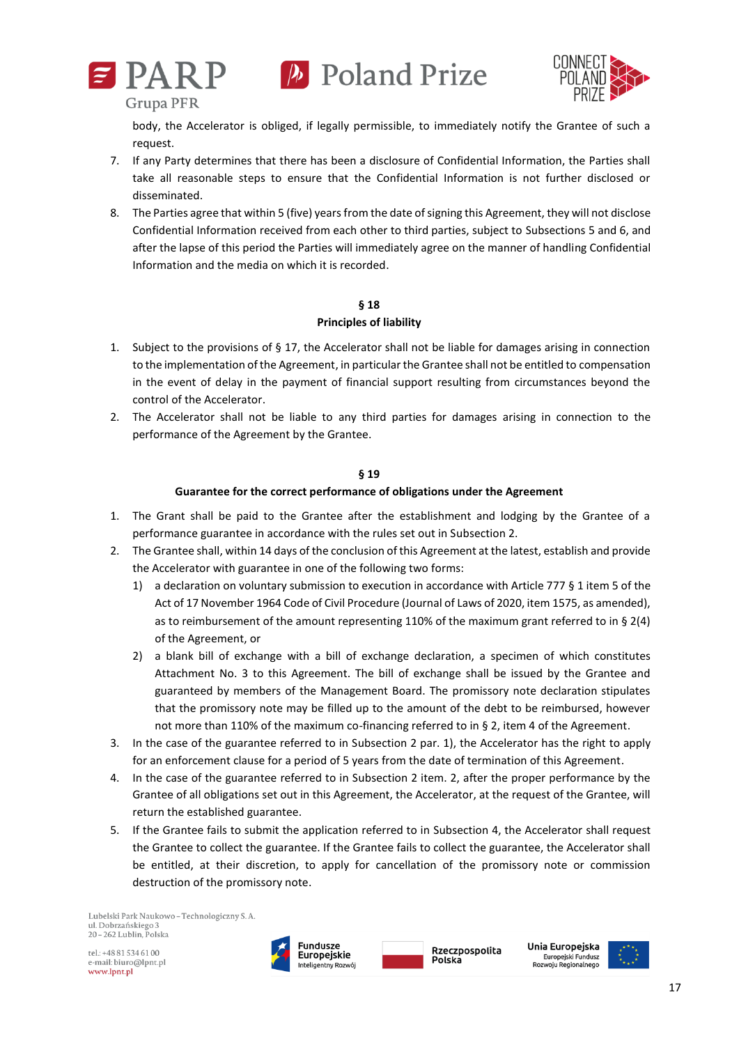





body, the Accelerator is obliged, if legally permissible, to immediately notify the Grantee of such a request.

- 7. If any Party determines that there has been a disclosure of Confidential Information, the Parties shall take all reasonable steps to ensure that the Confidential Information is not further disclosed or disseminated.
- 8. The Parties agree that within 5 (five) years from the date of signing this Agreement, they will not disclose Confidential Information received from each other to third parties, subject to Subsections 5 and 6, and after the lapse of this period the Parties will immediately agree on the manner of handling Confidential Information and the media on which it is recorded.

## **§ 18**

#### **Principles of liability**

- 1. Subject to the provisions of § 17, the Accelerator shall not be liable for damages arising in connection to the implementation of the Agreement, in particular the Grantee shall not be entitled to compensation in the event of delay in the payment of financial support resulting from circumstances beyond the control of the Accelerator.
- 2. The Accelerator shall not be liable to any third parties for damages arising in connection to the performance of the Agreement by the Grantee.

## **§ 19**

## **Guarantee for the correct performance of obligations under the Agreement**

- 1. The Grant shall be paid to the Grantee after the establishment and lodging by the Grantee of a performance guarantee in accordance with the rules set out in Subsection 2.
- 2. The Grantee shall, within 14 days of the conclusion of this Agreement at the latest, establish and provide the Accelerator with guarantee in one of the following two forms:
	- 1) a declaration on voluntary submission to execution in accordance with Article 777 § 1 item 5 of the Act of 17 November 1964 Code of Civil Procedure (Journal of Laws of 2020, item 1575, as amended), as to reimbursement of the amount representing 110% of the maximum grant referred to in § 2(4) of the Agreement, or
	- 2) a blank bill of exchange with a bill of exchange declaration, a specimen of which constitutes Attachment No. 3 to this Agreement. The bill of exchange shall be issued by the Grantee and guaranteed by members of the Management Board. The promissory note declaration stipulates that the promissory note may be filled up to the amount of the debt to be reimbursed, however not more than 110% of the maximum co-financing referred to in § 2, item 4 of the Agreement.
- 3. In the case of the guarantee referred to in Subsection 2 par. 1), the Accelerator has the right to apply for an enforcement clause for a period of 5 years from the date of termination of this Agreement.
- 4. In the case of the guarantee referred to in Subsection 2 item. 2, after the proper performance by the Grantee of all obligations set out in this Agreement, the Accelerator, at the request of the Grantee, will return the established guarantee.
- 5. If the Grantee fails to submit the application referred to in Subsection 4, the Accelerator shall request the Grantee to collect the guarantee. If the Grantee fails to collect the guarantee, the Accelerator shall be entitled, at their discretion, to apply for cancellation of the promissory note or commission destruction of the promissory note.

Lubelski Park Naukowo - Technologiczny S. A. ul. Dobrzańskiego 3 20 - 262 Lublin, Polska





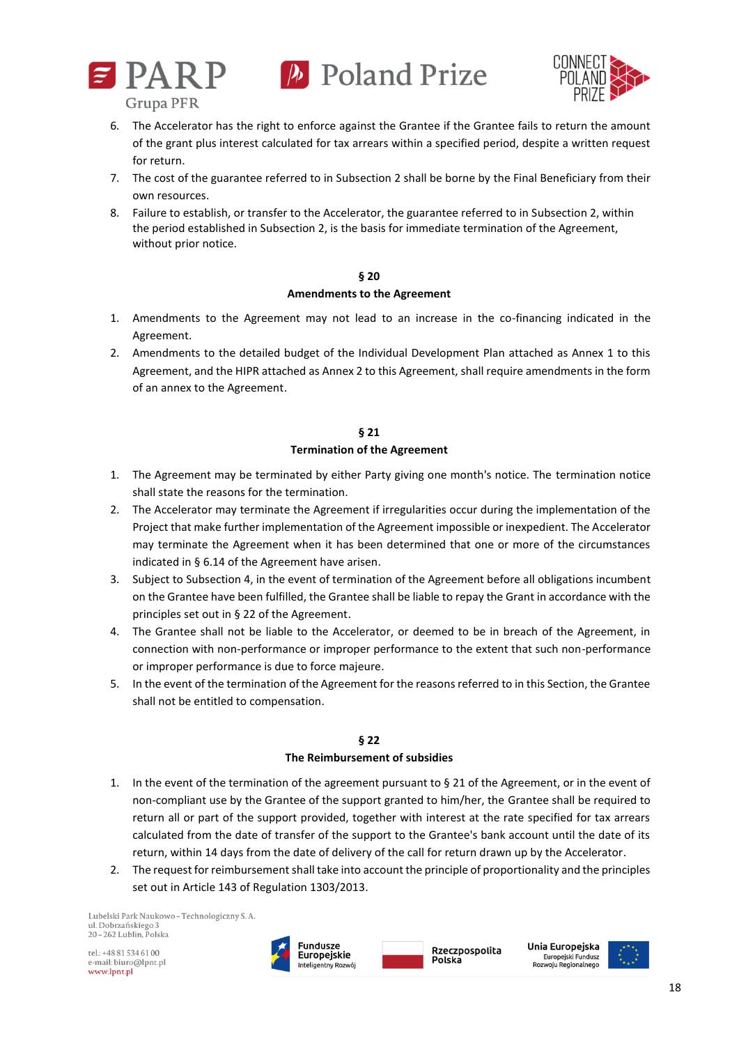



- 6. The Accelerator has the right to enforce against the Grantee if the Grantee fails to return the amount of the grant plus interest calculated for tax arrears within a specified period, despite a written request for return.
- 7. The cost of the guarantee referred to in Subsection 2 shall be borne by the Final Beneficiary from their own resources.
- 8. Failure to establish, or transfer to the Accelerator, the guarantee referred to in Subsection 2, within the period established in Subsection 2, is the basis for immediate termination of the Agreement, without prior notice.

#### **§ 20**

## **Amendments to the Agreement**

- 1. Amendments to the Agreement may not lead to an increase in the co-financing indicated in the Agreement.
- 2. Amendments to the detailed budget of the Individual Development Plan attached as Annex 1 to this Agreement, and the HIPR attached as Annex 2 to this Agreement, shall require amendments in the form of an annex to the Agreement.

## **§ 21**

## **Termination of the Agreement**

- 1. The Agreement may be terminated by either Party giving one month's notice. The termination notice shall state the reasons for the termination.
- 2. The Accelerator may terminate the Agreement if irregularities occur during the implementation of the Project that make further implementation of the Agreement impossible or inexpedient. The Accelerator may terminate the Agreement when it has been determined that one or more of the circumstances indicated in § 6.14 of the Agreement have arisen.
- 3. Subject to Subsection 4, in the event of termination of the Agreement before all obligations incumbent on the Grantee have been fulfilled, the Grantee shall be liable to repay the Grant in accordance with the principles set out in § 22 of the Agreement.
- 4. The Grantee shall not be liable to the Accelerator, or deemed to be in breach of the Agreement, in connection with non-performance or improper performance to the extent that such non-performance or improper performance is due to force majeure.
- 5. In the event of the termination of the Agreement for the reasons referred to in this Section, the Grantee shall not be entitled to compensation.

## **§ 22**

## **The Reimbursement of subsidies**

- 1. In the event of the termination of the agreement pursuant to § 21 of the Agreement, or in the event of non-compliant use by the Grantee of the support granted to him/her, the Grantee shall be required to return all or part of the support provided, together with interest at the rate specified for tax arrears calculated from the date of transfer of the support to the Grantee's bank account until the date of its return, within 14 days from the date of delivery of the call for return drawn up by the Accelerator.
- 2. The request for reimbursement shall take into account the principle of proportionality and the principles set out in Article 143 of Regulation 1303/2013.

Lubelski Park Naukowo - Technologiczny S. A. ul. Dobrzańskiego 3 20-262 Lublin, Polska





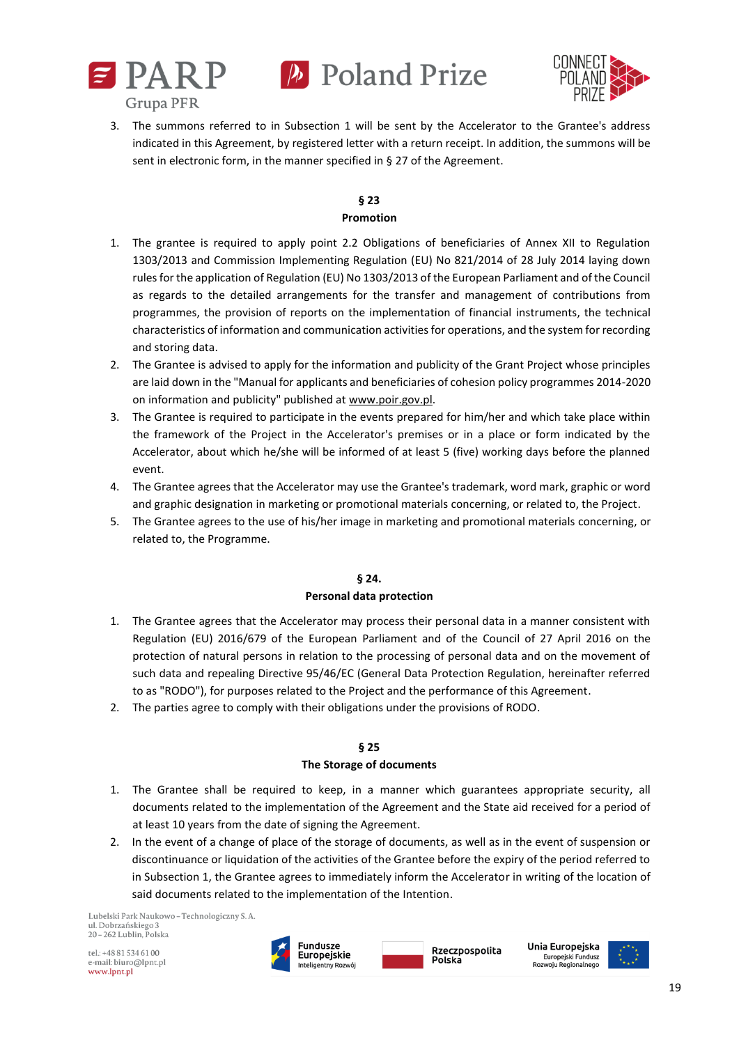



3. The summons referred to in Subsection 1 will be sent by the Accelerator to the Grantee's address indicated in this Agreement, by registered letter with a return receipt. In addition, the summons will be sent in electronic form, in the manner specified in § 27 of the Agreement.

# **§ 23**

## **Promotion**

- 1. The grantee is required to apply point 2.2 Obligations of beneficiaries of Annex XII to Regulation 1303/2013 and Commission Implementing Regulation (EU) No 821/2014 of 28 July 2014 laying down rules for the application of Regulation (EU) No 1303/2013 of the European Parliament and of the Council as regards to the detailed arrangements for the transfer and management of contributions from programmes, the provision of reports on the implementation of financial instruments, the technical characteristics of information and communication activities for operations, and the system for recording and storing data.
- 2. The Grantee is advised to apply for the information and publicity of the Grant Project whose principles are laid down in the "Manual for applicants and beneficiaries of cohesion policy programmes 2014-2020 on information and publicity" published at [www.poir.gov.pl.](http://www.poir.gov.pl/)
- 3. The Grantee is required to participate in the events prepared for him/her and which take place within the framework of the Project in the Accelerator's premises or in a place or form indicated by the Accelerator, about which he/she will be informed of at least 5 (five) working days before the planned event.
- 4. The Grantee agrees that the Accelerator may use the Grantee's trademark, word mark, graphic or word and graphic designation in marketing or promotional materials concerning, or related to, the Project.
- 5. The Grantee agrees to the use of his/her image in marketing and promotional materials concerning, or related to, the Programme.

## **§ 24. Personal data protection**

- 1. The Grantee agrees that the Accelerator may process their personal data in a manner consistent with Regulation (EU) 2016/679 of the European Parliament and of the Council of 27 April 2016 on the protection of natural persons in relation to the processing of personal data and on the movement of such data and repealing Directive 95/46/EC (General Data Protection Regulation, hereinafter referred to as "RODO"), for purposes related to the Project and the performance of this Agreement.
- 2. The parties agree to comply with their obligations under the provisions of RODO.

## **§ 25**

## **The Storage of documents**

- 1. The Grantee shall be required to keep, in a manner which guarantees appropriate security, all documents related to the implementation of the Agreement and the State aid received for a period of at least 10 years from the date of signing the Agreement.
- 2. In the event of a change of place of the storage of documents, as well as in the event of suspension or discontinuance or liquidation of the activities of the Grantee before the expiry of the period referred to in Subsection 1, the Grantee agrees to immediately inform the Accelerator in writing of the location of said documents related to the implementation of the Intention.

Lubelski Park Naukowo - Technologiczny S. A. ul. Dobrzańskiego 3 20 - 262 Lublin, Polska

 $rel \cdot + 48815346100$ e-mail: biuro@lpnt.pl www.lpnt.pl





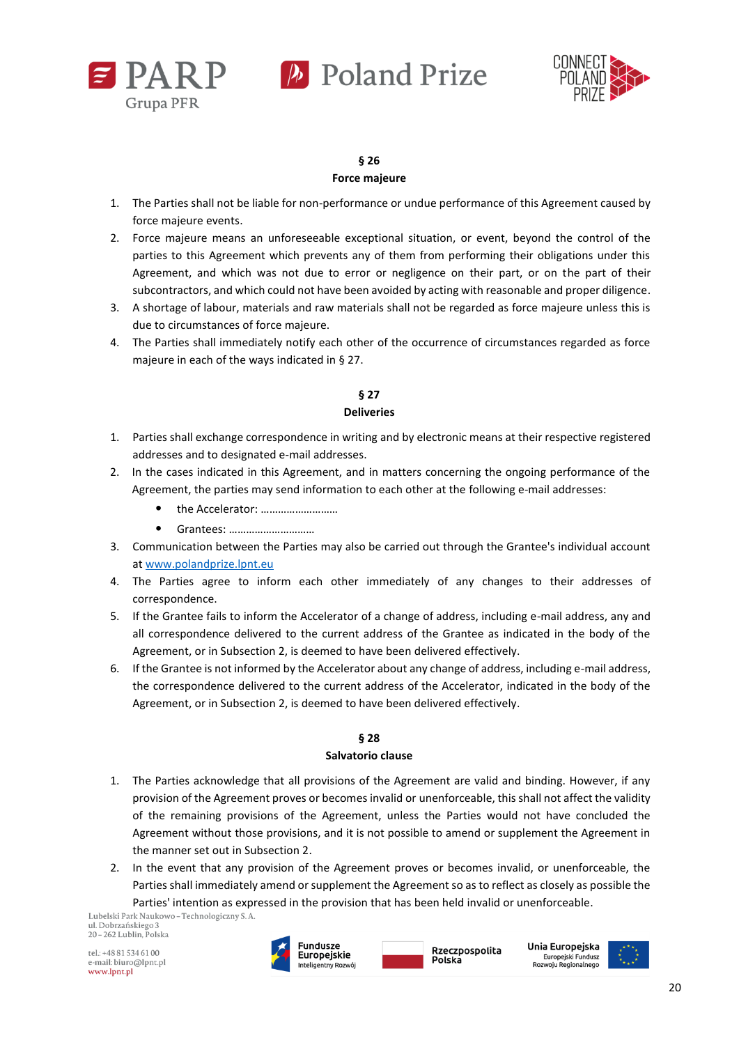



## **§ 26**

## **Force majeure**

- 1. The Parties shall not be liable for non-performance or undue performance of this Agreement caused by force majeure events.
- 2. Force majeure means an unforeseeable exceptional situation, or event, beyond the control of the parties to this Agreement which prevents any of them from performing their obligations under this Agreement, and which was not due to error or negligence on their part, or on the part of their subcontractors, and which could not have been avoided by acting with reasonable and proper diligence.
- 3. A shortage of labour, materials and raw materials shall not be regarded as force majeure unless this is due to circumstances of force majeure.
- 4. The Parties shall immediately notify each other of the occurrence of circumstances regarded as force majeure in each of the ways indicated in § 27.

## **§ 27 Deliveries**

- 1. Parties shall exchange correspondence in writing and by electronic means at their respective registered addresses and to designated e-mail addresses.
- 2. In the cases indicated in this Agreement, and in matters concerning the ongoing performance of the Agreement, the parties may send information to each other at the following e-mail addresses:
	- the Accelerator: ………………………
	- Grantees: …………………………
- 3. Communication between the Parties may also be carried out through the Grantee's individual account at [www.polandprize.lpnt.eu](http://www.polandprize.lpnt.eu/)
- 4. The Parties agree to inform each other immediately of any changes to their addresses of correspondence.
- 5. If the Grantee fails to inform the Accelerator of a change of address, including e-mail address, any and all correspondence delivered to the current address of the Grantee as indicated in the body of the Agreement, or in Subsection 2, is deemed to have been delivered effectively.
- 6. If the Grantee is not informed by the Accelerator about any change of address, including e-mail address, the correspondence delivered to the current address of the Accelerator, indicated in the body of the Agreement, or in Subsection 2, is deemed to have been delivered effectively.

## **§ 28**

## **Salvatorio clause**

- 1. The Parties acknowledge that all provisions of the Agreement are valid and binding. However, if any provision of the Agreement proves or becomes invalid or unenforceable, this shall not affect the validity of the remaining provisions of the Agreement, unless the Parties would not have concluded the Agreement without those provisions, and it is not possible to amend or supplement the Agreement in the manner set out in Subsection 2.
- 2. In the event that any provision of the Agreement proves or becomes invalid, or unenforceable, the Parties shall immediately amend or supplement the Agreement so as to reflect as closely as possible the Parties' intention as expressed in the provision that has been held invalid or unenforceable.<br>Lubelski Park Naukowo-Technologiczny S.A.

ul. Dobrzańskiego 3 20 - 262 Lublin, Polska

tel.: +48 81 534 61 00 e-mail: biuro@lpnt.pl www.lpnt.pl



Rzeczpospolita Polska



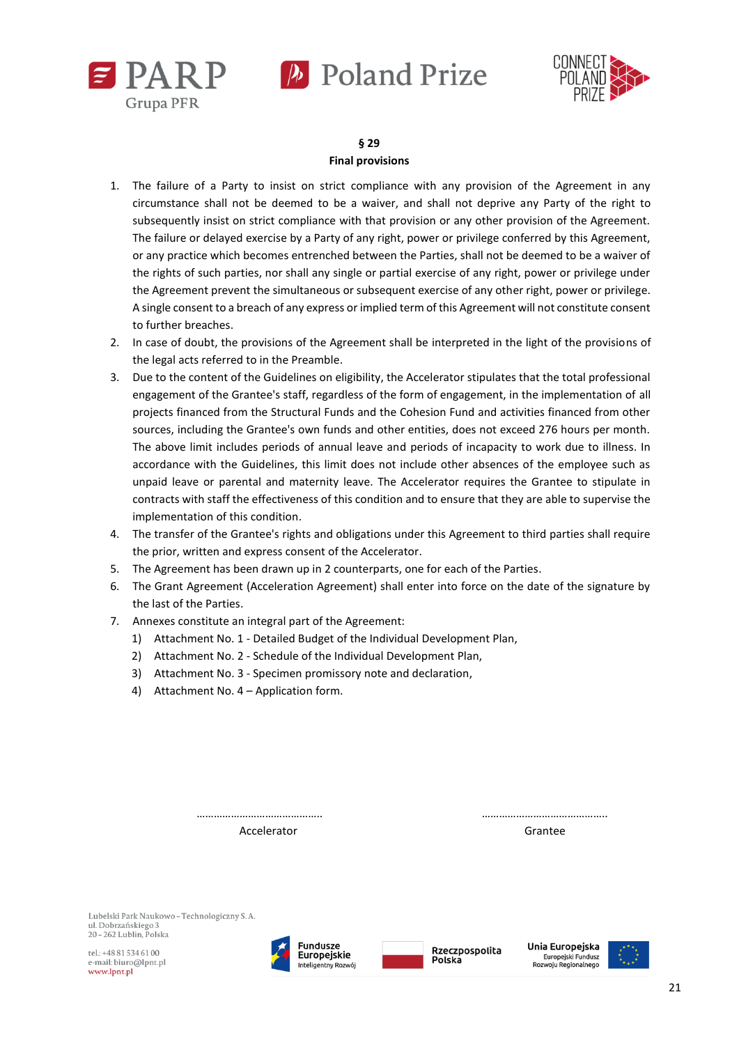



**§ 29 Final provisions**

- 1. The failure of a Party to insist on strict compliance with any provision of the Agreement in any circumstance shall not be deemed to be a waiver, and shall not deprive any Party of the right to subsequently insist on strict compliance with that provision or any other provision of the Agreement. The failure or delayed exercise by a Party of any right, power or privilege conferred by this Agreement, or any practice which becomes entrenched between the Parties, shall not be deemed to be a waiver of the rights of such parties, nor shall any single or partial exercise of any right, power or privilege under the Agreement prevent the simultaneous or subsequent exercise of any other right, power or privilege. A single consent to a breach of any express or implied term of this Agreement will not constitute consent to further breaches.
- 2. In case of doubt, the provisions of the Agreement shall be interpreted in the light of the provisions of the legal acts referred to in the Preamble.
- 3. Due to the content of the Guidelines on eligibility, the Accelerator stipulates that the total professional engagement of the Grantee's staff, regardless of the form of engagement, in the implementation of all projects financed from the Structural Funds and the Cohesion Fund and activities financed from other sources, including the Grantee's own funds and other entities, does not exceed 276 hours per month. The above limit includes periods of annual leave and periods of incapacity to work due to illness. In accordance with the Guidelines, this limit does not include other absences of the employee such as unpaid leave or parental and maternity leave. The Accelerator requires the Grantee to stipulate in contracts with staff the effectiveness of this condition and to ensure that they are able to supervise the implementation of this condition.
- 4. The transfer of the Grantee's rights and obligations under this Agreement to third parties shall require the prior, written and express consent of the Accelerator.
- 5. The Agreement has been drawn up in 2 counterparts, one for each of the Parties.
- 6. The Grant Agreement (Acceleration Agreement) shall enter into force on the date of the signature by the last of the Parties.

…………………………………….. ……………………………………..

- 7. Annexes constitute an integral part of the Agreement:
	- 1) Attachment No. 1 Detailed Budget of the Individual Development Plan,
	- 2) Attachment No. 2 Schedule of the Individual Development Plan,
	- 3) Attachment No. 3 Specimen promissory note and declaration,
	- 4) Attachment No. 4 Application form.

| Accelerator | Grantee |
|-------------|---------|

Lubelski Park Naukowo - Technologiczny S. A. ul. Dobrzańskiego 3 20 - 262 Lublin, Polska

 $rel \cdot + 48815346100$ e-mail: biuro@lpnt.pl www.lpnt.pl





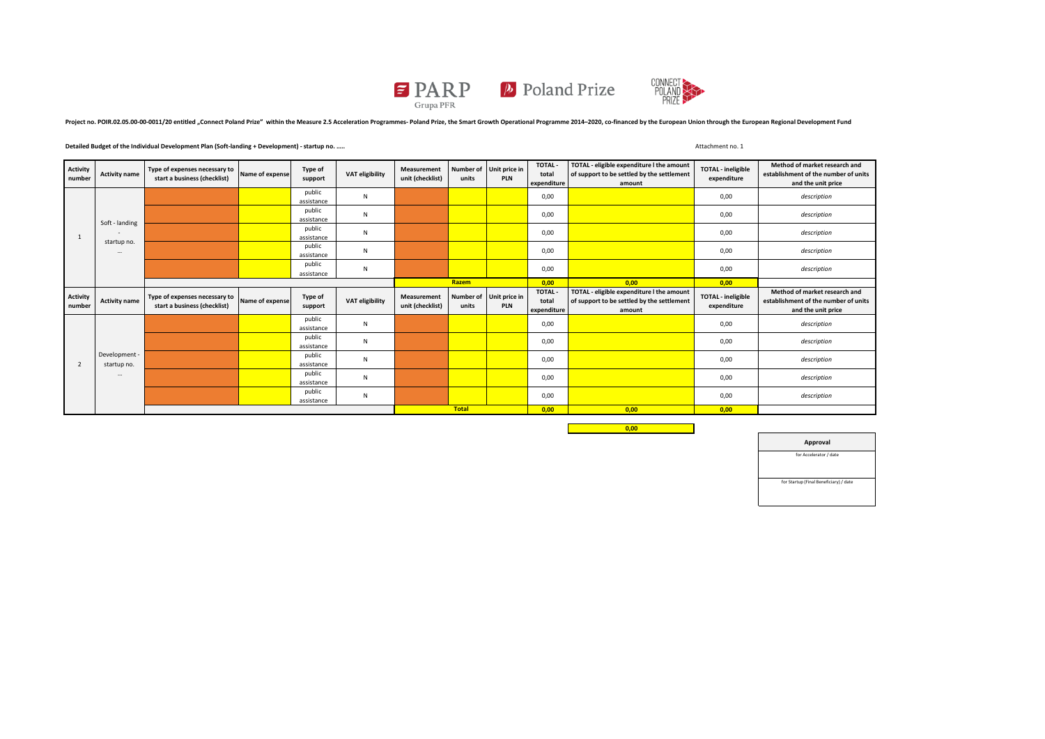

Project no. POIR.02.05.00-00-0011/20 entitled "Connect Poland Prize" within the Measure 2.5 Acceleration Programmes- Poland Prize, the Smart Growth Operational Programme 2014-2020, co-financed by the European Union through

#### **Detailed Budget of the Individual Development Plan (Soft-landing + Development) - startup no. …..** Attachment no. 1

| <b>Activity</b><br>number | <b>Activity name</b>                                  | Type of expenses necessary to<br>start a business (checklist) | Name of expense | Type of<br>support   | VAT eligibility | Measurement<br>unit (checklist) | units | Number of Unit price in<br>PLN | <b>TOTAL-</b><br>total<br>expenditure | TOTAL - eligible expenditure I the amount<br>of support to be settled by the settlement<br>amount | <b>TOTAL - ineligible</b><br>expenditure | Method of market research and<br>establishment of the number of units<br>and the unit price |
|---------------------------|-------------------------------------------------------|---------------------------------------------------------------|-----------------|----------------------|-----------------|---------------------------------|-------|--------------------------------|---------------------------------------|---------------------------------------------------------------------------------------------------|------------------------------------------|---------------------------------------------------------------------------------------------|
|                           | Soft - landing<br>startup no.<br>$\ddot{\phantom{a}}$ |                                                               |                 | public<br>assistance | N               |                                 |       |                                | 0,00                                  |                                                                                                   | 0,00                                     | description                                                                                 |
|                           |                                                       |                                                               |                 | public<br>assistance | N               |                                 |       |                                | 0,00                                  |                                                                                                   | 0,00                                     | description                                                                                 |
|                           |                                                       |                                                               |                 | public<br>assistance | N               |                                 |       |                                | 0,00                                  |                                                                                                   | 0,00                                     | description                                                                                 |
|                           |                                                       |                                                               |                 | public<br>assistance | N               |                                 |       |                                | 0,00                                  |                                                                                                   | 0,00                                     | description                                                                                 |
|                           |                                                       |                                                               |                 | public<br>assistance | N               |                                 |       |                                | 0,00                                  |                                                                                                   | 0,00                                     | description                                                                                 |
|                           |                                                       |                                                               |                 |                      | Razem           |                                 | 0,00  | 0,00                           | 0,00                                  |                                                                                                   |                                          |                                                                                             |
|                           |                                                       |                                                               |                 |                      |                 |                                 |       |                                |                                       |                                                                                                   |                                          |                                                                                             |
| <b>Activity</b><br>number | <b>Activity name</b>                                  | Type of expenses necessary to<br>start a business (checklist) | Name of expense | Type of<br>support   | VAT eligibility | Measurement<br>unit (checklist) | units | Number of Unit price in<br>PLN | <b>TOTAL-</b><br>total<br>expenditure | TOTAL - eligible expenditure I the amount<br>of support to be settled by the settlement<br>amount | <b>TOTAL - ineligible</b><br>expenditure | Method of market research and<br>establishment of the number of units<br>and the unit price |
|                           |                                                       |                                                               |                 | public<br>assistance | N               |                                 |       |                                | 0,00                                  |                                                                                                   | 0,00                                     | description                                                                                 |
|                           |                                                       |                                                               |                 | public<br>assistance | N               |                                 |       |                                | 0,00                                  |                                                                                                   | 0,00                                     | description                                                                                 |
| 2                         | Development -<br>startup no.                          |                                                               |                 | public<br>assistance | N               |                                 |       |                                | 0,00                                  |                                                                                                   | 0,00                                     | description                                                                                 |
|                           | $\cdots$                                              |                                                               |                 | public<br>assistance | N               |                                 |       |                                | 0,00                                  |                                                                                                   | 0,00                                     | description                                                                                 |
|                           |                                                       |                                                               |                 | public<br>assistance | N               |                                 |       |                                | 0,00                                  |                                                                                                   | 0,00                                     | description                                                                                 |

**0,00**

**Approval** for Accelerator / date for Startup (Final Beneficiary) / date